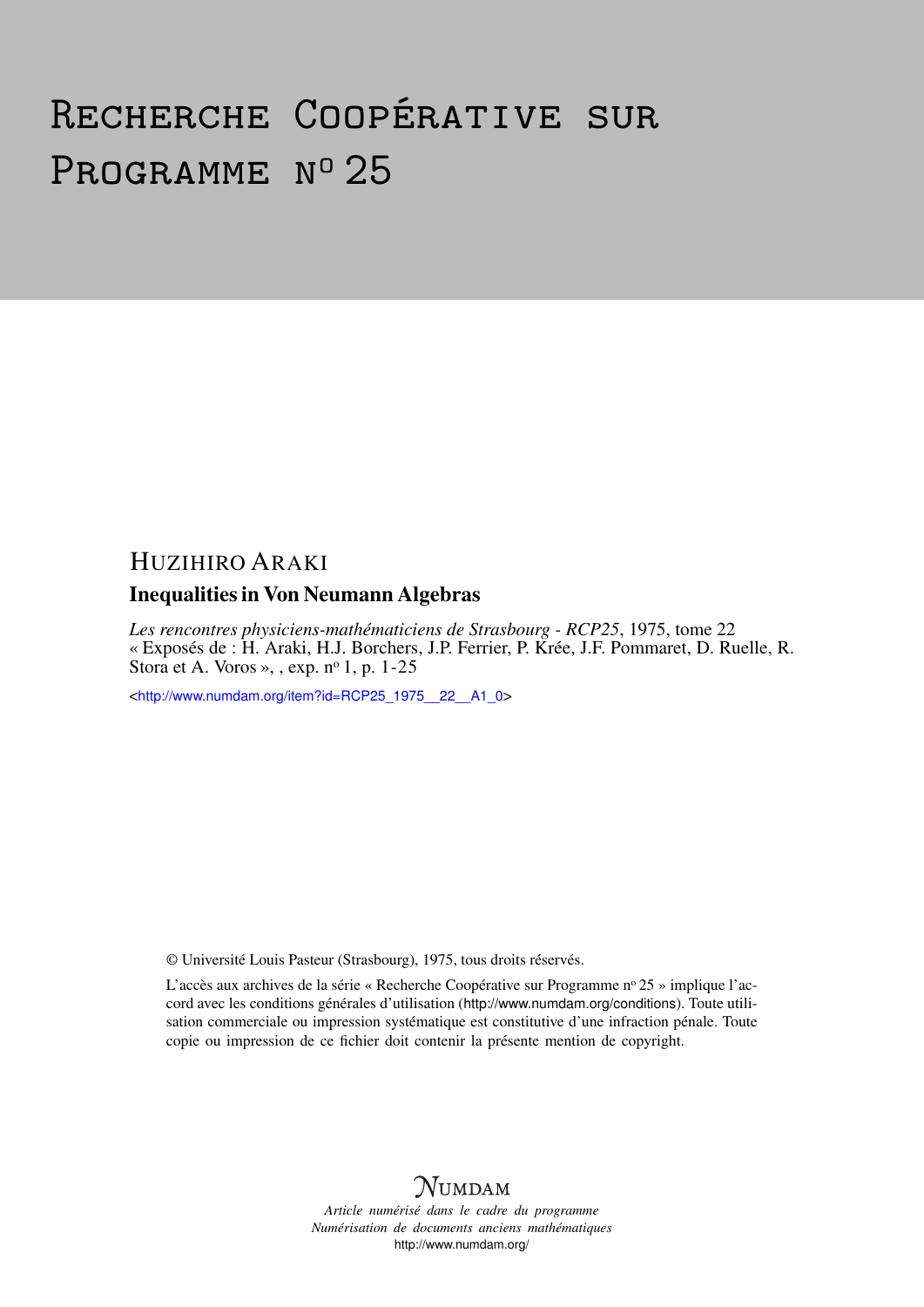# Recherche Coopérative sur PROGRAMME Nº 25

## HUZIHIRO ARAKI

### Inequalities in Von Neumann Algebras

*Les rencontres physiciens-mathématiciens de Strasbourg - RCP25*, 1975, tome 22 « Exposés de : H. Araki, H.J. Borchers, J.P. Ferrier, P. Krée, J.F. Pommaret, D. Ruelle, R. Stora et A. Voros », , exp.  $n^{\circ}$  1, p. 1-25

<[http://www.numdam.org/item?id=RCP25\\_1975\\_\\_22\\_\\_A1\\_0](http://www.numdam.org/item?id=RCP25_1975__22__A1_0)>

© Université Louis Pasteur (Strasbourg), 1975, tous droits réservés.

L'accès aux archives de la série « Recherche Coopérative sur Programme nº 25 » implique l'accord avec les conditions générales d'utilisation (<http://www.numdam.org/conditions>). Toute utilisation commerciale ou impression systématique est constitutive d'une infraction pénale. Toute copie ou impression de ce fichier doit contenir la présente mention de copyright.



*Article numérisé dans le cadre du programme Numérisation de documents anciens mathématiques* <http://www.numdam.org/>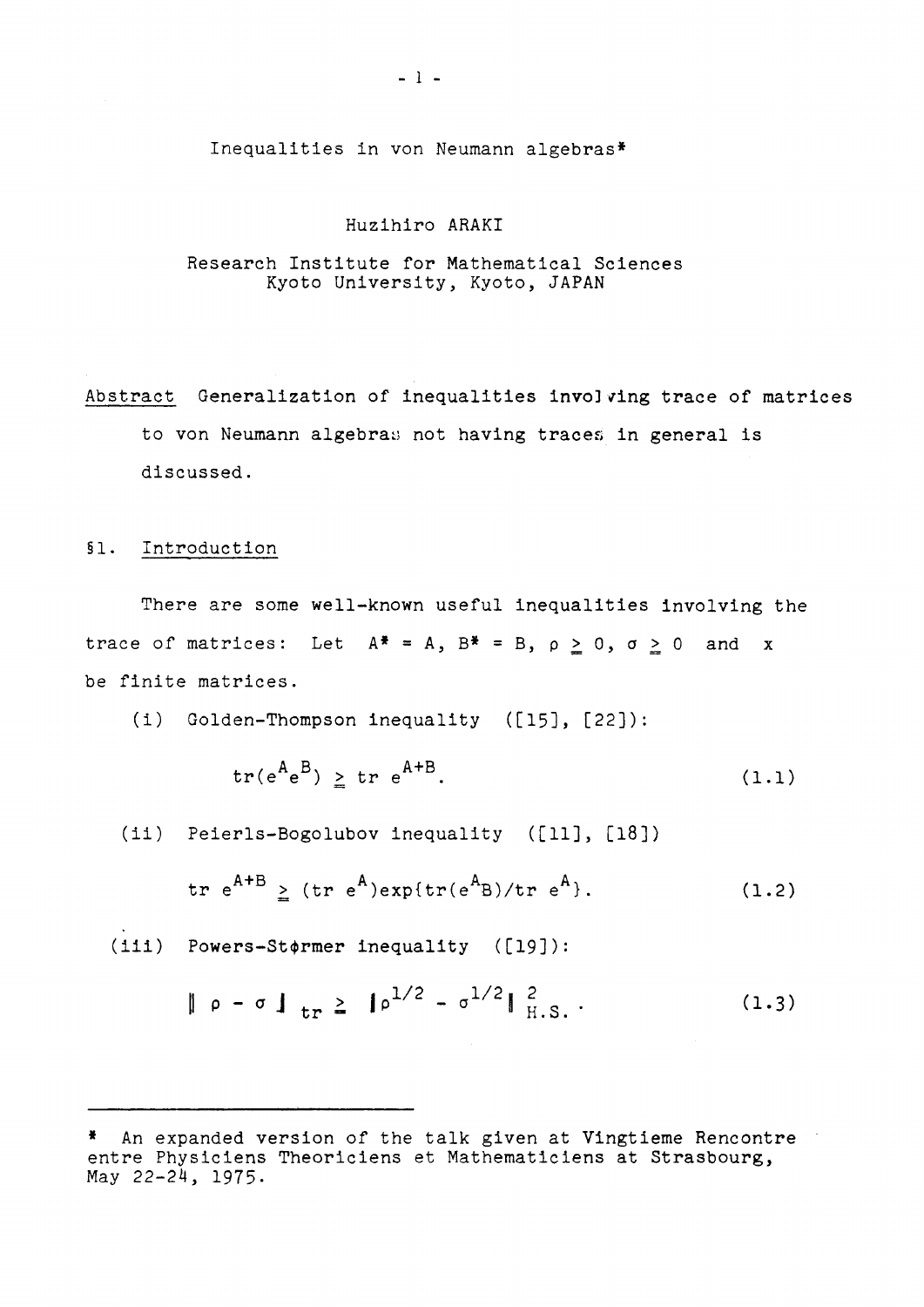### Inequalities in von Neumann algebras\*

### Huzihiro ARAKI

### Research Institute for Mathematical Sciences Kyoto University, Kyoto, JAPAN

# Abstract Generalization of inequalities involving trace of matrices to von Neumann algebras not having traces in general is discussed.

### **§1·** Introduction

There are some well-known useful inequalities involving the trace of matrices: Let  $A^* = A$ ,  $B^* = B$ ,  $\rho \ge 0$ ,  $\sigma \ge 0$  and x be finite matrices.

(i) Golden-Thompson inequality **([15] ,** [22]):

$$
\operatorname{tr}(\mathrm{e}^{\mathrm{A}}\mathrm{e}^{\mathrm{B}}) \geq \operatorname{tr} \mathrm{e}^{\mathrm{A}+\mathrm{B}}.\tag{1.1}
$$

(ii) Peierls-Bogolubov inequality **([11] , [18])** 

$$
\text{tr } e^{A+B} \geq (\text{tr } e^A) \exp\{\text{tr}(e^A B)/\text{tr } e^A\}. \tag{1.2}
$$

(iii) Powers-Stormer inequality ([19]):

$$
\|\rho - \sigma\|_{\text{tr}} \ge \|\rho^{1/2} - \sigma^{1/2}\|_{\text{H.S.}}^2. \tag{1.3}
$$

<sup>\*</sup> An expanded version of the talk given at Vingtième Rencontre entre Physiciens Theoriciens et Mathematiciens at Strasbourg, May 22-24, **1975-**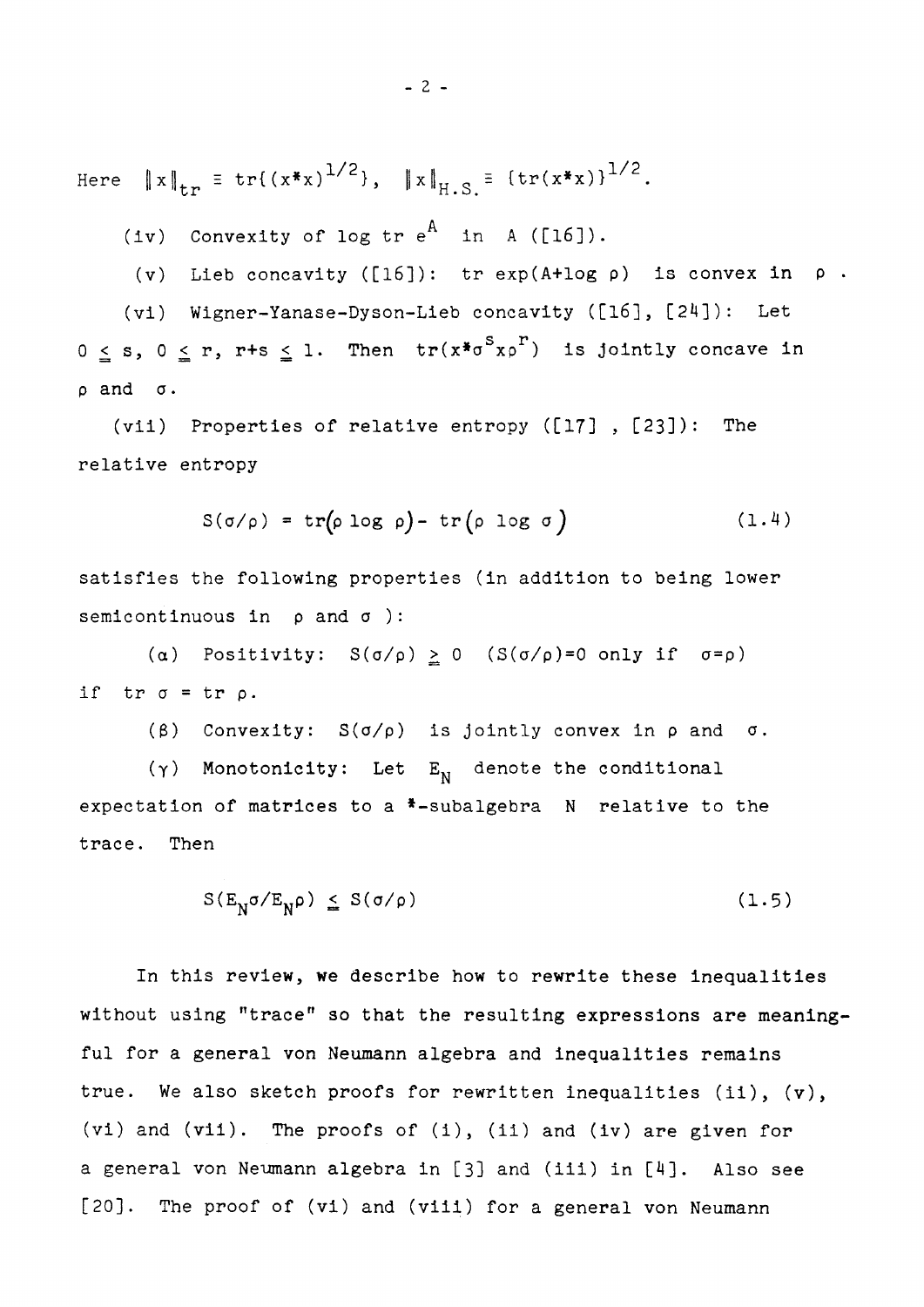Here  $||x||_{\dagger n}$  = tr{(x\*x)<sup>2'</sup>),  $||x||_{H}$  = {tr(x\*x)}<sup>2'</sup>.

(iv) Convexity of log  $tr e^{A}$  in A ([16]).

 $(v)$  Lieb concavity  $([16])$ : tr exp $(A+log\ p)$  is convex in  $p$ . (vi) Wigner-Yanase-Dyson-Lieb concavity **([16] ,** [24]): Let  $0 \leq s$ ,  $0 \leq r$ , r+s  $\leq 1$ . Then  $tr(x^* \sigma^S x \rho^r)$  is jointly concave in  $\rho$  and  $\sigma$ .

(vii) Properties of relative entropy **([17 ] , [23]):** The relative entropy

$$
S(\sigma/\rho) = tr(\rho \log \rho) - tr(\rho \log \sigma)
$$
 (1.4)

satisfies the following properties (in addition to being lower semicontinuous in  $\rho$  and  $\sigma$  ):

(α) Positivity: S(o/p) > **0** (S(a/p**)=0** only if σ=ρ) if  $tr \sigma = tr \rho$ .

$$
(\beta)
$$
 Conversely:  $S(\sigma/\rho)$  is jointly convex in  $\rho$  and  $\sigma$ .

( $\gamma$ ) Monotonicity: Let  $E_N$  denote the conditional expectation of matrices to a  $*$ -subalgebra N relative to the trace. Then

 $S(E_N \sigma/E_N \rho) \leq S(\sigma/\rho)$  (1.5)

In this review, we describe how to rewrite these inequalities without using "trace" so that the resulting expressions are meaningful for a general von Neumann algebra and inequalities remains true. We also sketch proofs for rewritten inequalities (il), (v), (vi) and (vii). The proofs of (i), (ii) and (iv) are given for a general von Neumann algebra in [3] and (iii) in [4]. Also see [20]. The proof of (vi) and (viii) for a general von Neumann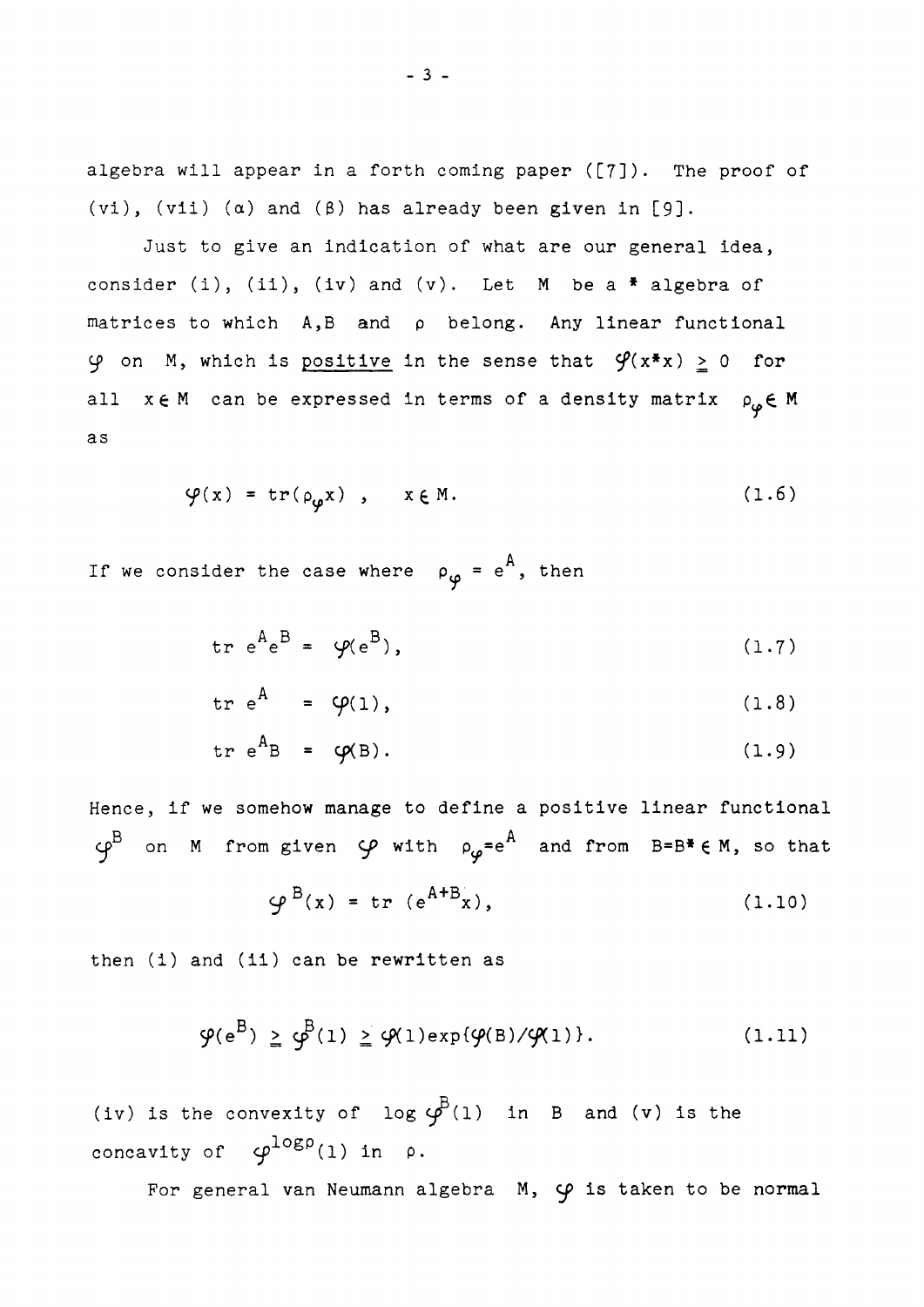algebra will appear in a forth coming paper  $([7])$ . The proof of (vi), (vii) (a) and (β) has already been given in [9]·

Just to give an indication of what are our general idea, consider (i), (ii), (iv) and (v). Let M be a  $*$  algebra of matrices to which  $A, B$  and  $\rho$  belong. Any linear functional on M, which is positive in the sensé that *(χ\*χ)* > 0 for all  $x \in M$  can be expressed in terms of a density matrix  $\rho_{\omega} \in M$ as

$$
\varphi(x) = tr(\rho_0 x), \quad x \in M. \tag{1.6}
$$

If we consider the case where  $\rho_{\varphi} = e^{A}$ , then

$$
tr e^A e^B = \varphi(e^B), \qquad (1.7)
$$

$$
tr eA = \varphi(1), \qquad (1.8)
$$

$$
tr eAB = \varphi(B).
$$
 (1.9)

Hence, if we somehow manage to define a positive linear functional  $\varphi^B$  on M from given  $\varphi$  with  $\rho_{\varphi}=e^A$  and from B=B\*  $\in$  M, so that

$$
\varphi^{B}(x) = tr (e^{A+B}x),
$$
 (1.10)

then (i) and (ii) can be rewritten as

$$
\mathcal{Y}(e^{B}) \geq \mathcal{G}^{B}(1) \geq \mathcal{Y}(1) \exp{\{\mathcal{G}(B)/\mathcal{G}(1)\}}.
$$
 (1.11)

(iv) is the convexity of  $log \varphi^B(1)$  in B and (v) is the concavity of  $\varphi^{\text{logp}} (1)$  in p.

For general van Neumann algebra  $M$ ,  $\varphi$  is taken to be normal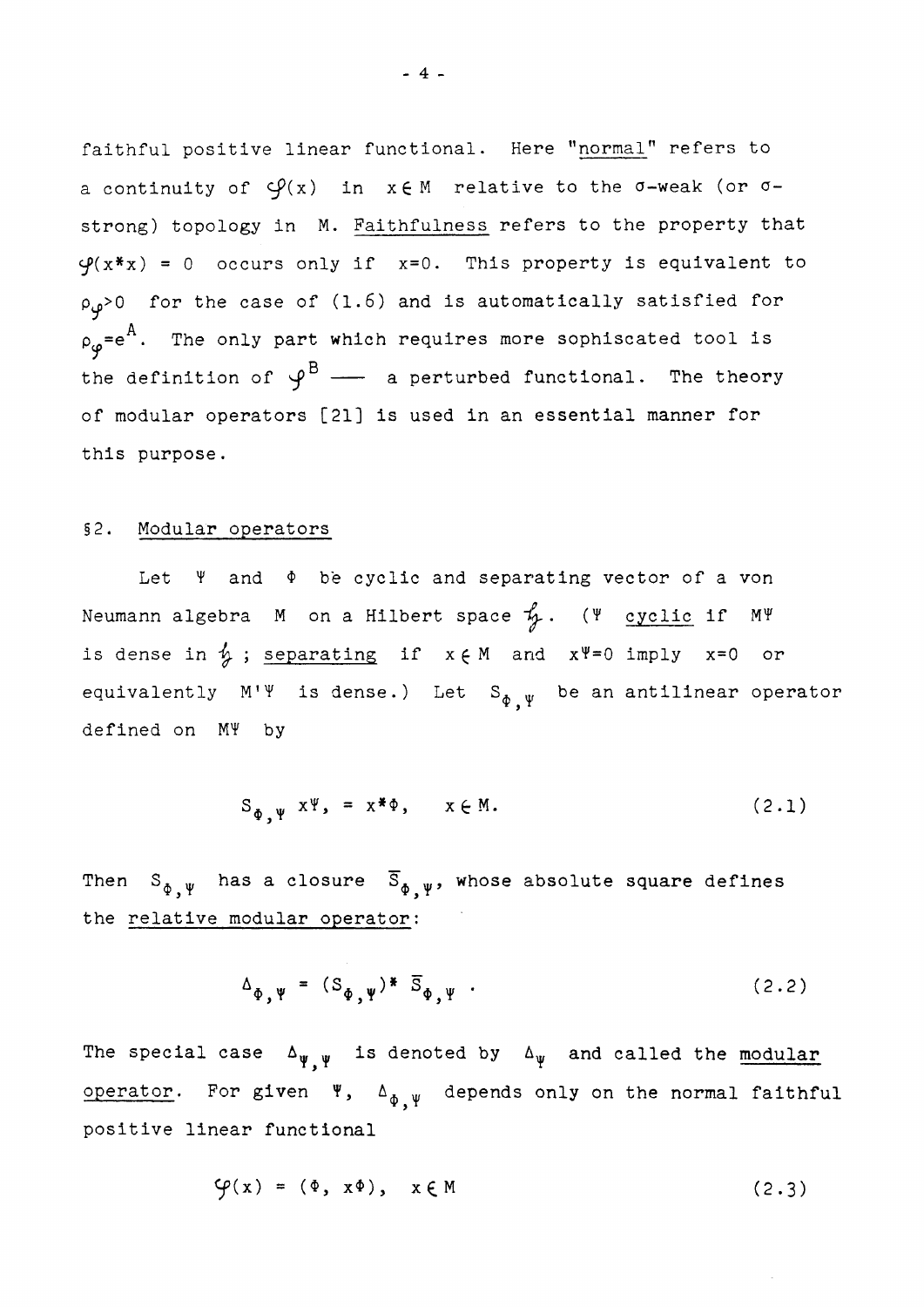faithful positive linear functional. Here "normal" refers to a continuity of  $\varphi(x)$  in  $x \in M$  relative to the  $\sigma$ -weak (or  $\sigma$ strong) topology in M. Faithfulness refers to the property that  $\varphi(x*x) = 0$  occurs only if  $x=0$ . This property is equivalent to P**^>>0** for the case of **(1.6 )** and is automatically satisfied for  $\rho_{\varphi}=e^{A}$ . The only part which requires more sophiscated tool is the definition of  $\varphi^{\texttt{B}}$  - a perturbed functional. The theory of modular operators **[21 ]** is used in an essential manner for this purpose.

### **§2**· Modular operators

Let  $\Psi$  and  $\Phi$  be cyclic and separating vector of a von Neumann algebra M on a Hilbert space  $\frac{1}{\gamma}$ . ( <sup>ψ</sup> cyclic if M<sup>Ψ</sup> is dense in  $\frac{1}{2}$ ; separating if  $x \in M$  and  $x^{\psi}=0$  imply  $x=0$  or equivalently M'<sup>y</sup> is dense.) Let S<sub>& w</sub> be an antilinear operator defined on MY by

$$
S_{\Phi, \Psi} x^{\Psi}, = x^{\ast} \Phi, \qquad x \in M. \tag{2.1}
$$

Then  $S_{\phi, \psi}$  has a closure  $\overline{S}_{\phi, \psi}$ , whose absolute square defines the relative modular operator:

$$
\Delta_{\Phi,\Psi} = (S_{\Phi,\Psi})^* \overline{S}_{\Phi,\Psi} .
$$
 (2.2)

The special case  $\Delta_{\psi}$  is denoted by  $\Delta_{\psi}$  and called the modular operator. For given  $\Psi$ ,  $\Delta_{\Phi,\Psi}$  depends only on the normal faithful positive linear functional

$$
\mathcal{G}(x) = (\Phi, x\Phi), \quad x \in M \tag{2.3}
$$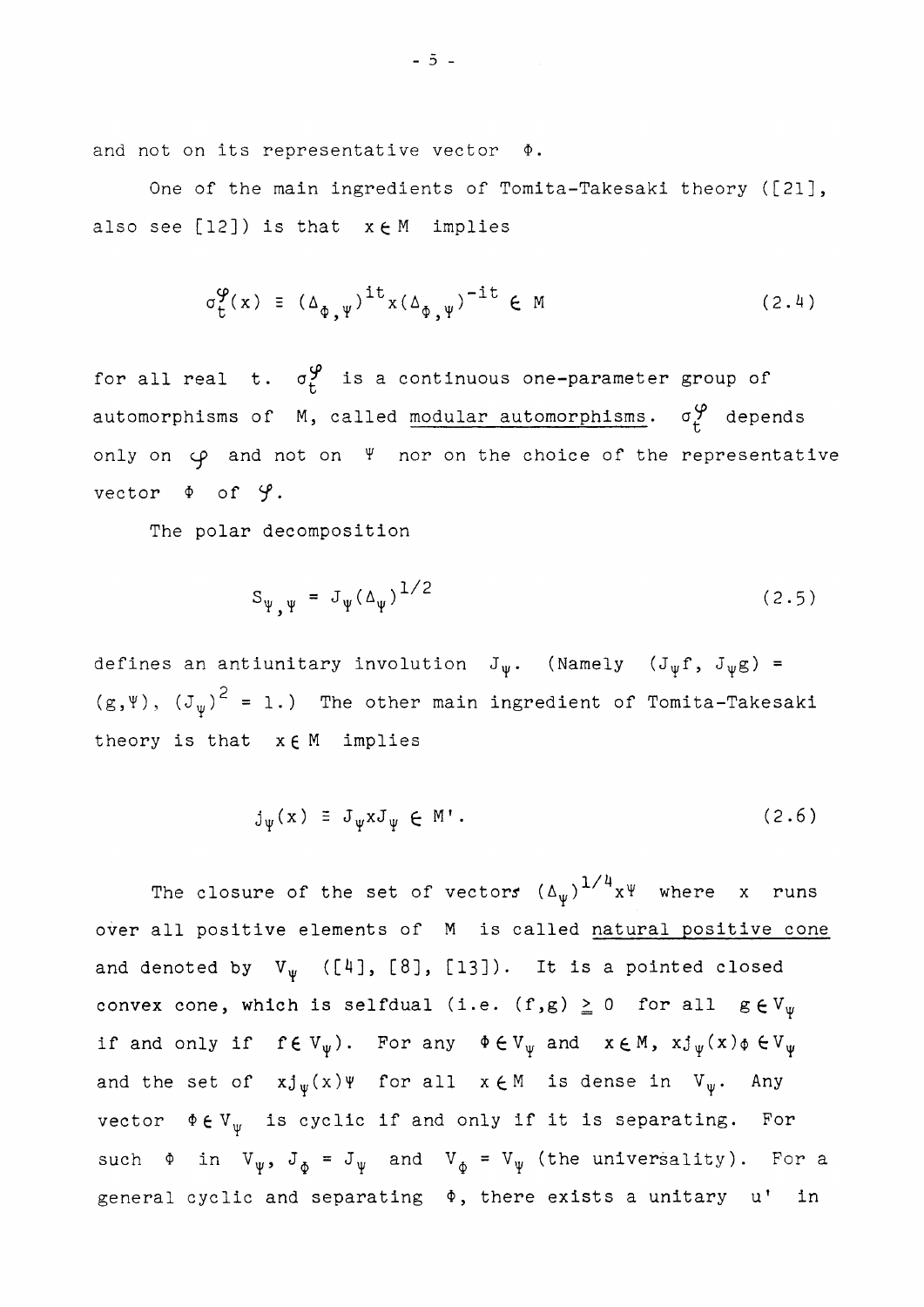and not on its representative vector  $\Phi$ .

One of the main ingredients of Tomita-Takesaki theory ([21], also see  $[12]$ ) is that  $x \in M$  implies

$$
\sigma_{t}^{\varphi}(x) \equiv (\Delta_{\Phi,\Psi})^{\text{it}} x (\Delta_{\Phi,\Psi})^{-\text{it}} \in M \tag{2.4}
$$

for all real t.  $\sigma_t^{\mathcal{Y}}$  is a continuous one-parameter group of automorphisms of M, called modular automorphisms.  $\sigma_t^{\mathcal{G}}$  depends only on  $\varphi$  and not on  $\psi$  nor on the choice of the representative vector  $\Phi$  of  $\mathcal{G}$ .

The polar decomposition

$$
S_{\Psi, \Psi} = J_{\Psi} (\Delta_{\Psi})^{1/2} \tag{2.5}
$$

defines an antiunitary involution  $J_{\psi}$ . (Namely  $(J_{\psi}f, J_{\psi}g)$  =  $(g,\Psi)$ ,  $(J_{\psi})^2 = 1.$ ) The other main ingredient of Tomita-Takesaki theory is that  $x \in M$  implies

$$
j_{\psi}(x) \equiv J_{\psi}xJ_{\psi} \in M'. \qquad (2.6)
$$

The closure of the set of vectors  $(\Delta_{\psi})^{1/4}x^{\psi}$  where x runs over all positive elements of M is called natural positive cone and denoted by  $V_{\psi}$  ([4], [8], [13]). It is a pointed closed convex cone, which is selfdual (i.e.  $(f,g) \ge 0$  for all  $g \in V_{\psi}$ if and only if  $f \in V_{\psi}$ ). For any  $\Phi \in V_{\psi}$  and  $x \in M$ ,  $x j_{\psi}(x) \Phi \in V_{\psi}$ and the set of  $xj_{\psi}(x)\psi$  for all  $x\in M$  is dense in  $V_{\psi}$ . Any vector  $\Phi \in V_w$  is cyclic if and only if it is separating. For such  $\Phi$  in  $V_{\psi}$ ,  $J_{\Phi} = J_{\psi}$  and  $V_{\Phi} = V_{\psi}$  (the universality). For a general cyclic and separating  $\phi$ , there exists a unitary  $u'$  in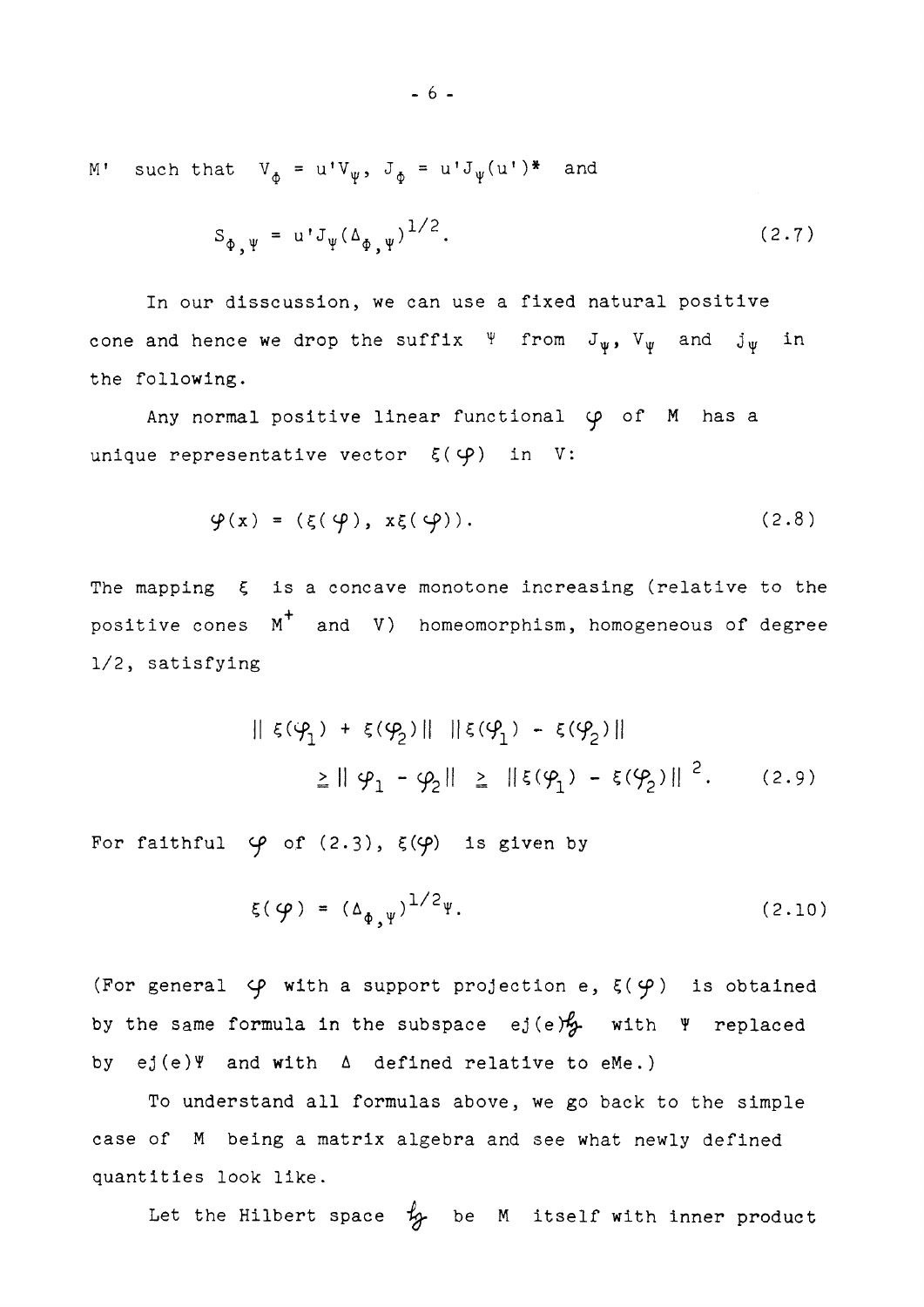M' such that  $V_{\phi} = u'V_{\psi}$ ,  $J_{\phi} = u'J_{\psi}(u')^*$  and

$$
S_{\Phi,\Psi} = u' J_{\Psi} (\Delta_{\Phi,\Psi})^{1/2}.
$$
 (2.7)

In our disscussion, we can use a fixed natural positive cone and hence we drop the suffix  $\Psi$  from  $J_{\psi}$ ,  $V_{\psi}$  and  $j_{\psi}$  in the following.

Any normal positive linear functional *(ψ* of M has a unique representative vector  $\xi(\phi)$  in V:

$$
\varphi(x) = (\xi(\varphi), x\xi(\varphi)). \qquad (2.8)
$$

The mapping  $\xi$  is a concave monotone increasing (relative to the positive cones  $M^+$  and V) homeomorphism, homogeneous of degree *1/2y* satisfying

$$
|| \xi(\varphi_1) + \xi(\varphi_2)|| || \xi(\varphi_1) - \xi(\varphi_2)||
$$
  
\n
$$
\geq || \varphi_1 - \varphi_2|| \geq || \xi(\varphi_1) - \xi(\varphi_2)||^2. \qquad (2.9)
$$

For faithful  $\varphi$  of (2.3),  $\xi(\varphi)$  is given by

$$
\xi(\varphi) = (\Delta_{\phi,\Psi})^{1/2}\Psi. \tag{2.10}
$$

(For general  $\varphi$  with a support projection e,  $\xi(\varphi)$  is obtained by the same formula in the subspace ej(e) $\frac{1}{2}$  with  $\gamma$  replaced by ej(e) $\frac{y}{x}$  and with  $\Delta$  defined relative to eMe.)

To understand ail formulas above, we go back to the simple case of M being a matrix algebra and see what newly defined quantities look like.

Let the Hilbert space *<sup>1</sup>A* be M itself with inner product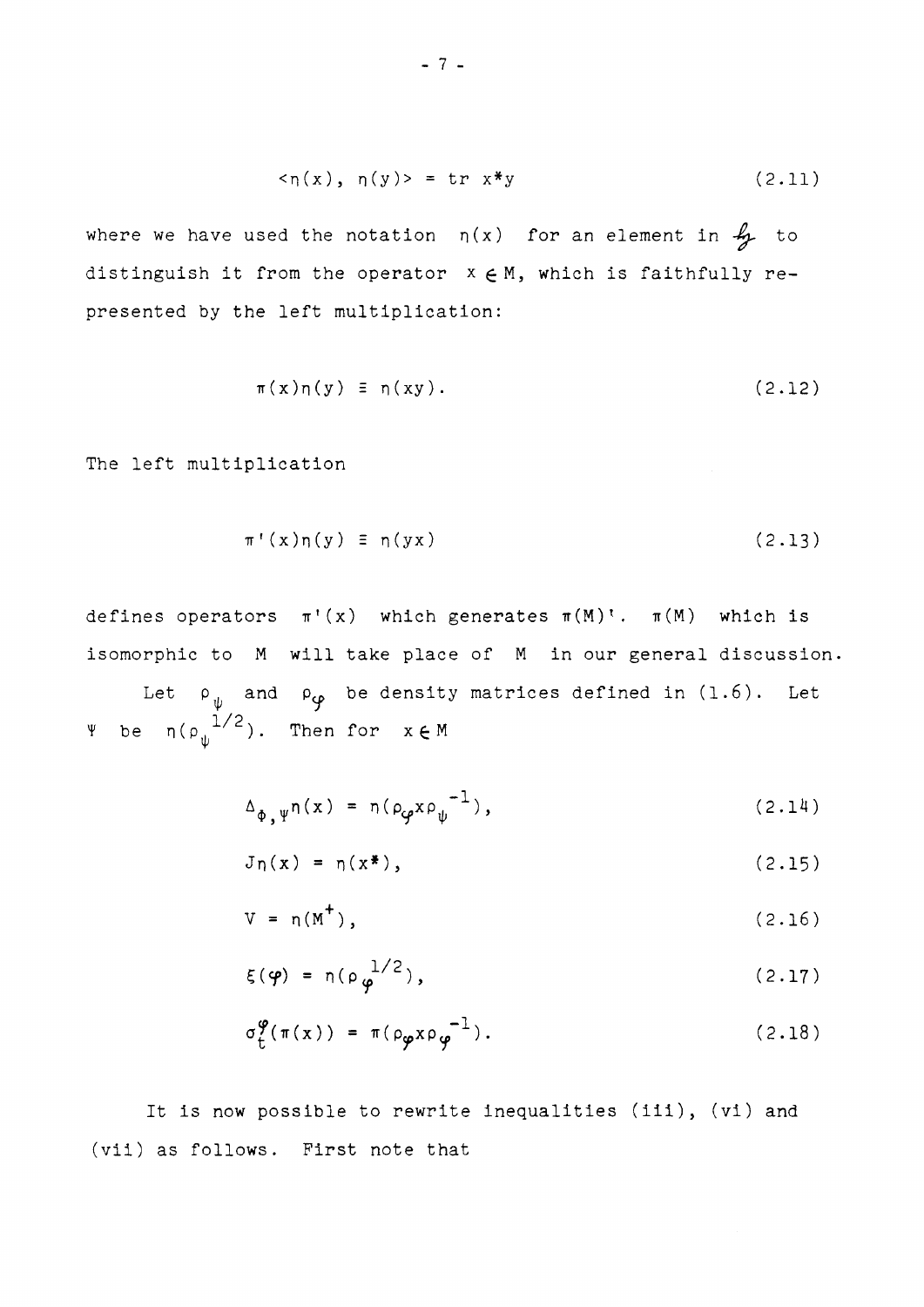$$
\langle \eta(x), \eta(y) \rangle = \text{tr } x \cdot y \tag{2.11}
$$

where we have used the notation  $n(x)$  for an element in  $\frac{1}{2}$  to distinguish it from the operator  $x \in M$ , which is faithfully represented by the left multiplication:

$$
\pi(x)\eta(y) \equiv \eta(xy).
$$
 (2.12)

The left multiplication

$$
\pi' (x) \eta (y) \equiv \eta (yx) \qquad (2.13)
$$

defines operators  $\pi'(x)$  which generates  $\pi(M)$ '.  $\pi(M)$  which is isomorphic to M will take place of M in our general discussion.

Let  $\rho_{\psi}$  and  $\rho_{\phi}$  be density matrices defined in (1.6). Let  $\Psi$  be  $\eta(\rho_{\psi}^{1/2})$ . Then for  $x \in M$ 

$$
\Delta_{\phi, \Psi} n(x) = n(\rho_{\varphi} x \rho_{\psi}^{-1}), \qquad (2.14)
$$

$$
J_n(x) = n(x^*), \qquad (2.15)
$$

$$
V = \eta(M^+), \qquad (2.16)
$$

$$
\xi(\varphi) = \eta(\rho \varphi^{1/2}), \qquad (2.17)
$$

$$
\sigma_{\mathbf{t}}^{\varphi}(\pi(\mathbf{x})) = \pi(\rho_{\varphi} \mathbf{x} \rho_{\varphi}^{-1}). \qquad (2.18)
$$

It is now possible to rewrite inequalities (iii), (vi) and (vii) as follows. First note that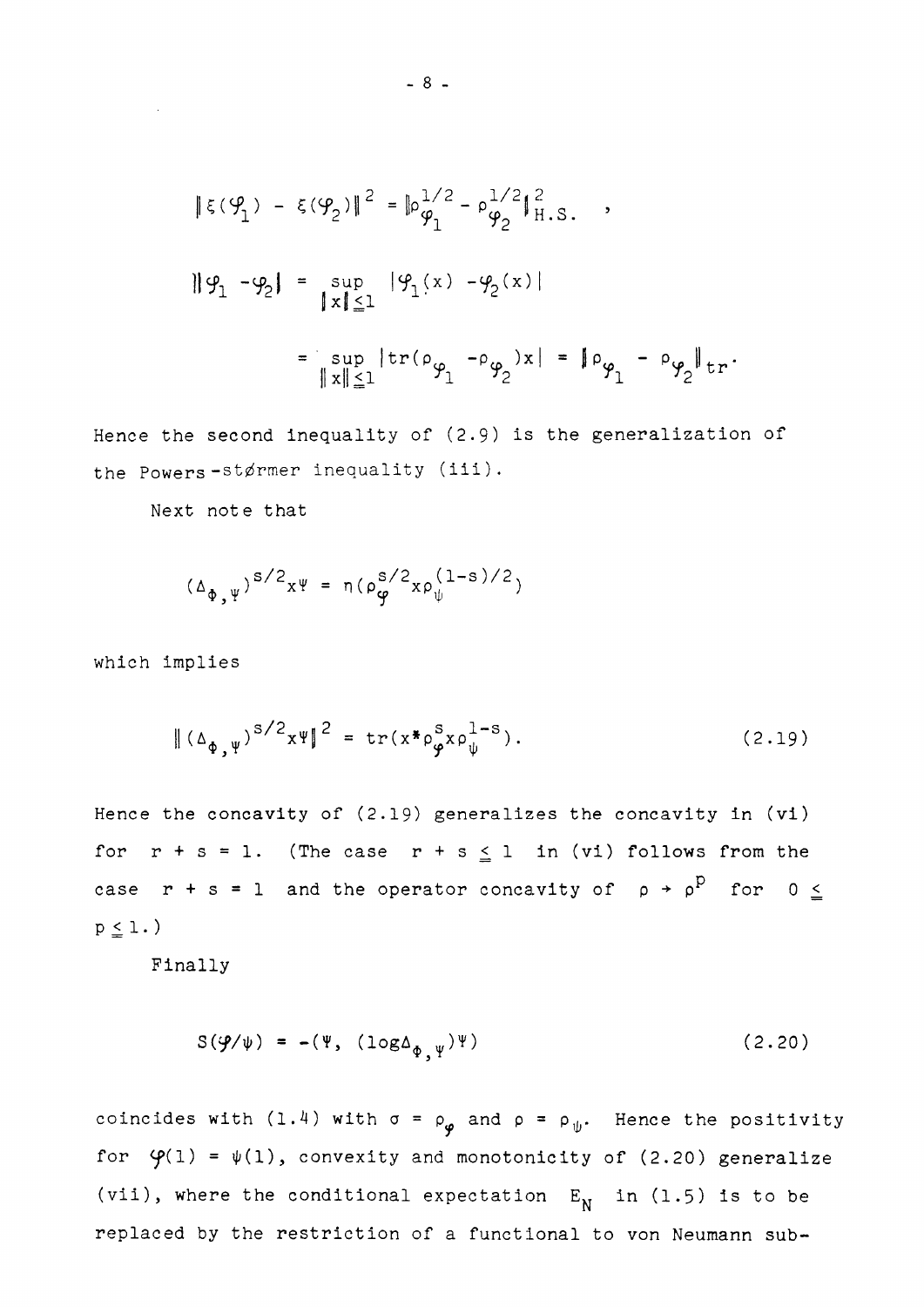$$
\|\xi(\varphi_1) - \xi(\varphi_2)\|^2 = \|\rho_{\varphi_1}^{1/2} - \rho_{\varphi_2}^{1/2}\|_{H.S.}^2,
$$
  

$$
\|\varphi_1 - \varphi_2\| = \sup_{\|x\| \le 1} |\varphi_1(x) - \varphi_2(x)|
$$
  

$$
= \sup_{\|x\| \le 1} |\text{tr}(\rho_{\varphi_1} - \rho_{\varphi_2})x| = \|\rho_{\varphi_1} - \rho_{\varphi_2}\|_{tr}.
$$

Hence the second inequality of (2.9) is the generalization of the Powers-størmer inequality (iii).

Next note that

$$
(\Delta_{\Phi,\Psi})^{s/2}x\Psi = n(\rho_{\Psi}^{s/2}x\rho_{\Psi}^{(1-s)/2})
$$

which implies

$$
\| (\Delta_{\phi, \Psi})^{S/2} x \Psi \|^2 = \text{tr}(x^* \rho_{\phi}^S x \rho_{\psi}^{1-S}). \qquad (2.19)
$$

Hence the concavity of (2.19) generalizes the concavity in (vi) for  $r + s = 1$ . (The case  $r + s \le 1$  in (vi) follows from the case  $r + s = 1$  and the operator concavity of  $\rho \rightarrow \rho^p$  for  $0 \leq$  $p \leq 1.$ )

Finally

$$
S(\mathcal{Y}/\psi) = -(\Psi, (log\Delta_{\phi\psi})\Psi)
$$
 (2.20)

coincides with (1.4) with  $\sigma = \rho_{\phi}$  and  $\rho = \rho_{\psi}$ . Hence the positivity for  $\varphi(1) = \psi(1)$ , convexity and monotonicity of (2.20) generalize (vii), where the conditional expectation  $E_M$  in (1.5) is to be replaced by the restriction of a functional to von Neumann sub-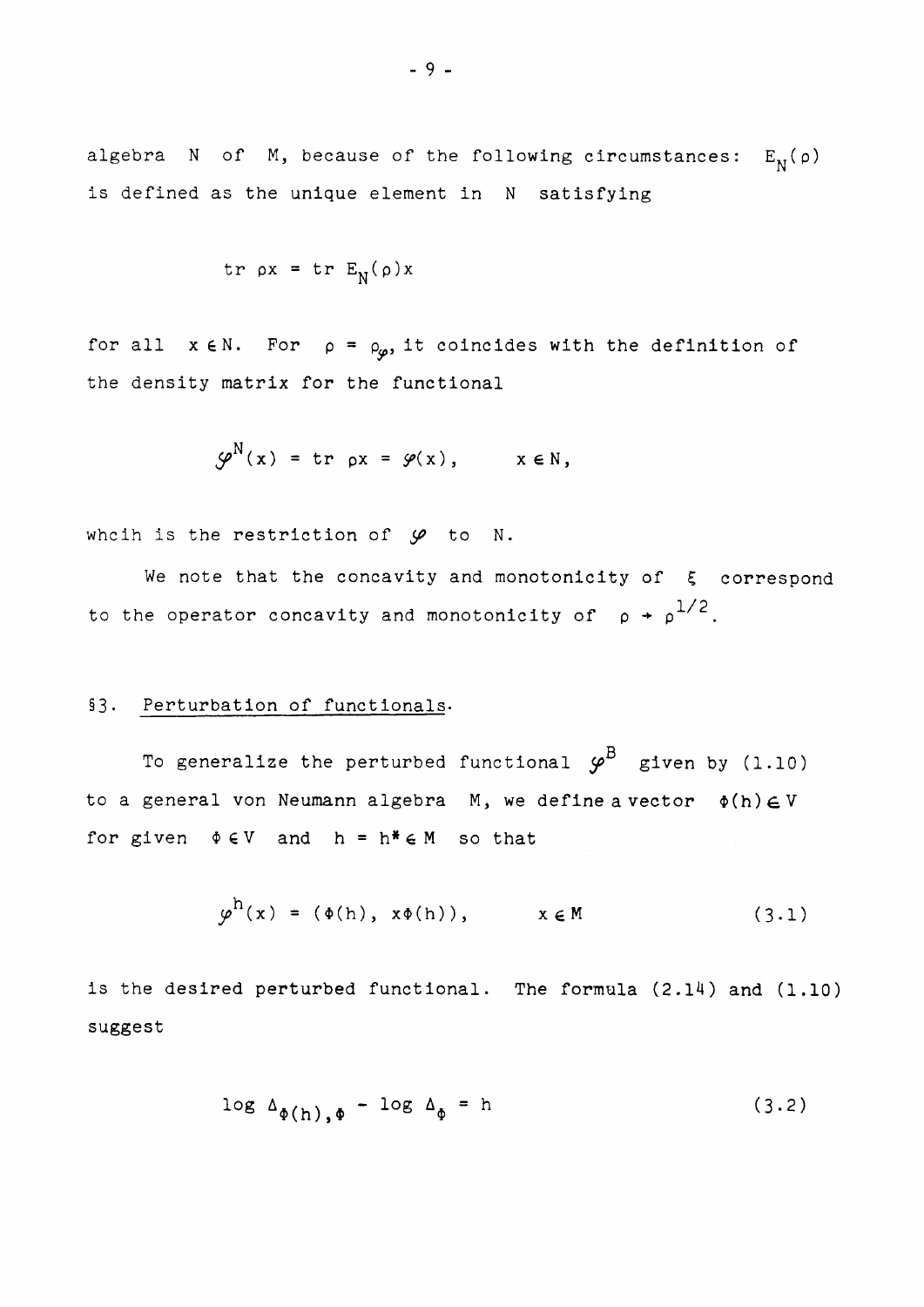$$
tr \rho x = tr E_{N}(\rho) x
$$

for all  $x \in N$ . For  $\rho = \rho_{\omega}$ , it coincides with the definition of the density matrix for the functional

$$
\mathcal{S}^N(x) = \text{tr } px = \mathcal{S}(x), \qquad x \in N,
$$

whcih is the restriction of  $\mathscr{S}$  to N.

We note that the concavity and monotonicity of  $\xi$  correspond **1/2**  to the operator concavity and monotonicity of  $\rho + \rho + \ldots$ 

### §3. Perturbation of functionals.

To generalize the perturbed functional  $\boldsymbol{\varphi}^{\text{B}}$  given by (1.10) To generalize the perturbed functional *<f* given by (1.10) for given in given in the form in the solution  $\mathcal{L}^{\mathcal{L}}$ 

$$
\varphi^h(x) = (\Phi(h), x\Phi(h)), \qquad x \in M \tag{3.1}
$$

is the desired perturbed functional. The formula (2.14) and (1.10) suggest

$$
\log \Delta_{\phi(h),\Phi} - \log \Delta_{\phi} = h \tag{3.2}
$$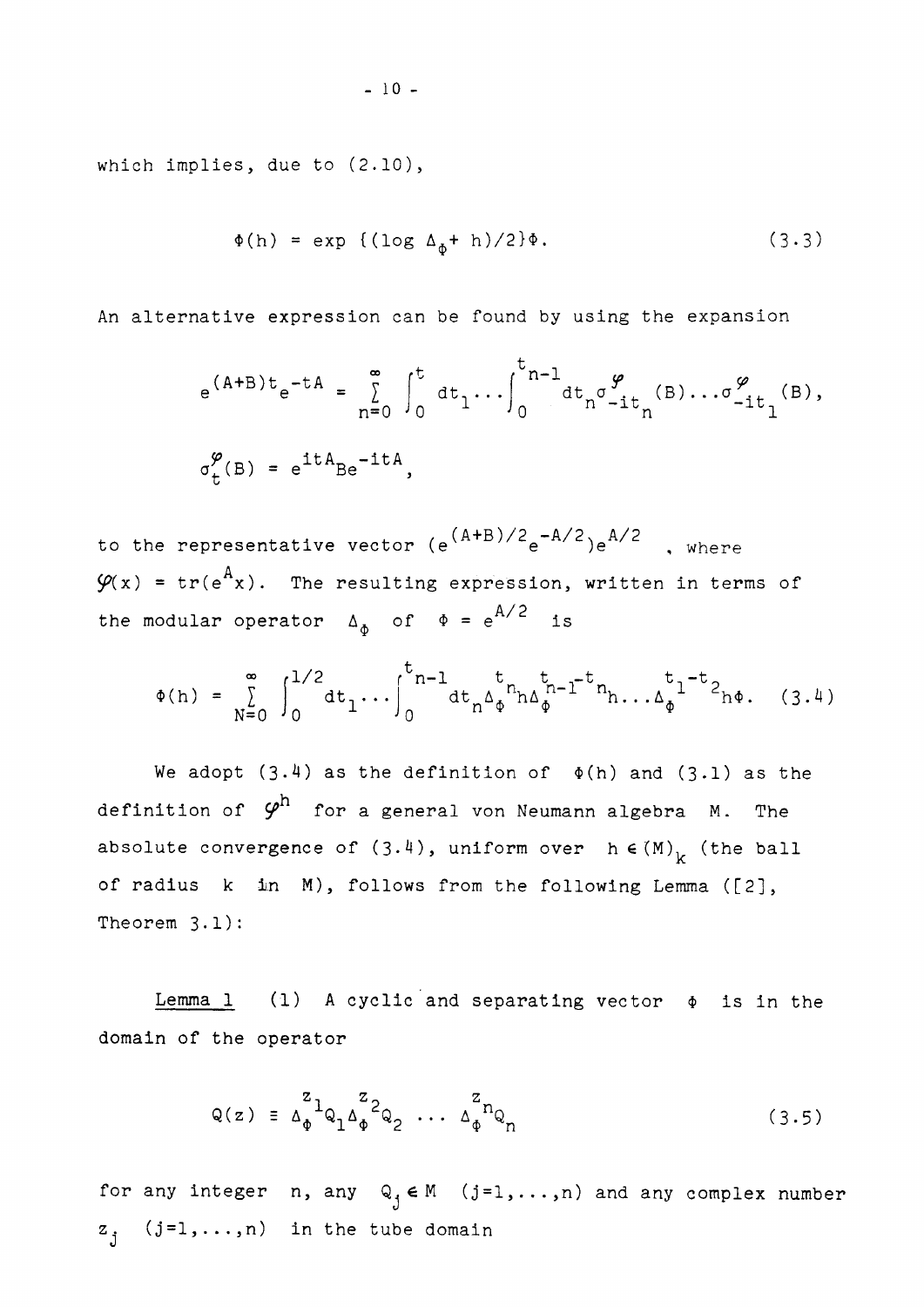which implies, due to **(2.10),** 

$$
\Phi(h) = \exp \{ (\log \Delta_{\Phi} + h)/2 \} \Phi.
$$
 (3.3)

An alternative expression can be found by using the expansion

$$
e^{(A+B)t}e^{-tA} = \sum_{n=0}^{\infty} \int_{0}^{t} dt_{1} \cdots \int_{0}^{t_{n-1}} dt_{n} \sigma^{g}_{-it_{n}}(B) \cdots \sigma^{g}_{-it_{1}}(B),
$$
  

$$
\sigma^{g}_{t}(B) = e^{itA}Be^{-itA},
$$

to the representative vector (e<sup>(A+B)/2</sup><sub>2</sub>-A/2<sub>)e</sub>A/2 to the representative vector (e e )e , where  $\mathcal{G}(x)$  = tr(e<sup>A</sup>x). The resulting expression, written in terms of A**/2**  the modular operator  $\Delta_{\Phi}$  or  $\epsilon = \epsilon$  is

$$
\Phi(h) = \sum_{N=0}^{\infty} \int_{0}^{1/2} dt_1 \cdots \int_{0}^{t_{n-1}} dt_n \Delta_{\Phi}^{t_n} h \Delta_{\Phi}^{h-1}^{t_n} h \cdots \Delta_{\Phi}^{t_1-t_2} h \Phi. \quad (3.4)
$$

We adopt  $(3.4)$  as the definition of  $\phi(h)$  and  $(3.1)$  as the definition of  $\boldsymbol{\mathcal{G}}^h$  for a general von Neumann algebra  $M$ . The absolute convergence of  $(3.4)$ , uniform over  $h \in (M)_k$  (the ball of radius k in M) , follows from the following Lemma **([2] ,**  Theorem **3 · 1) :** 

Lemma<sub>1</sub> (1) A cyclic and separating vector  $\phi$  is in the domain of the operator

$$
Q(z) = \Delta_{\Phi}^{z} \Delta_{\Phi}^{z} \Delta_{\Phi}^{z} \Delta_{Q} \dots \Delta_{\Phi}^{z} n_{Q} \qquad (3.5)
$$

for any integer n, any  $Q_i \in M$  (j=l,...,n) and any complex number  $z_i$  (j=1,...,n) in the tube domain  $\ddot{\phantom{0}}$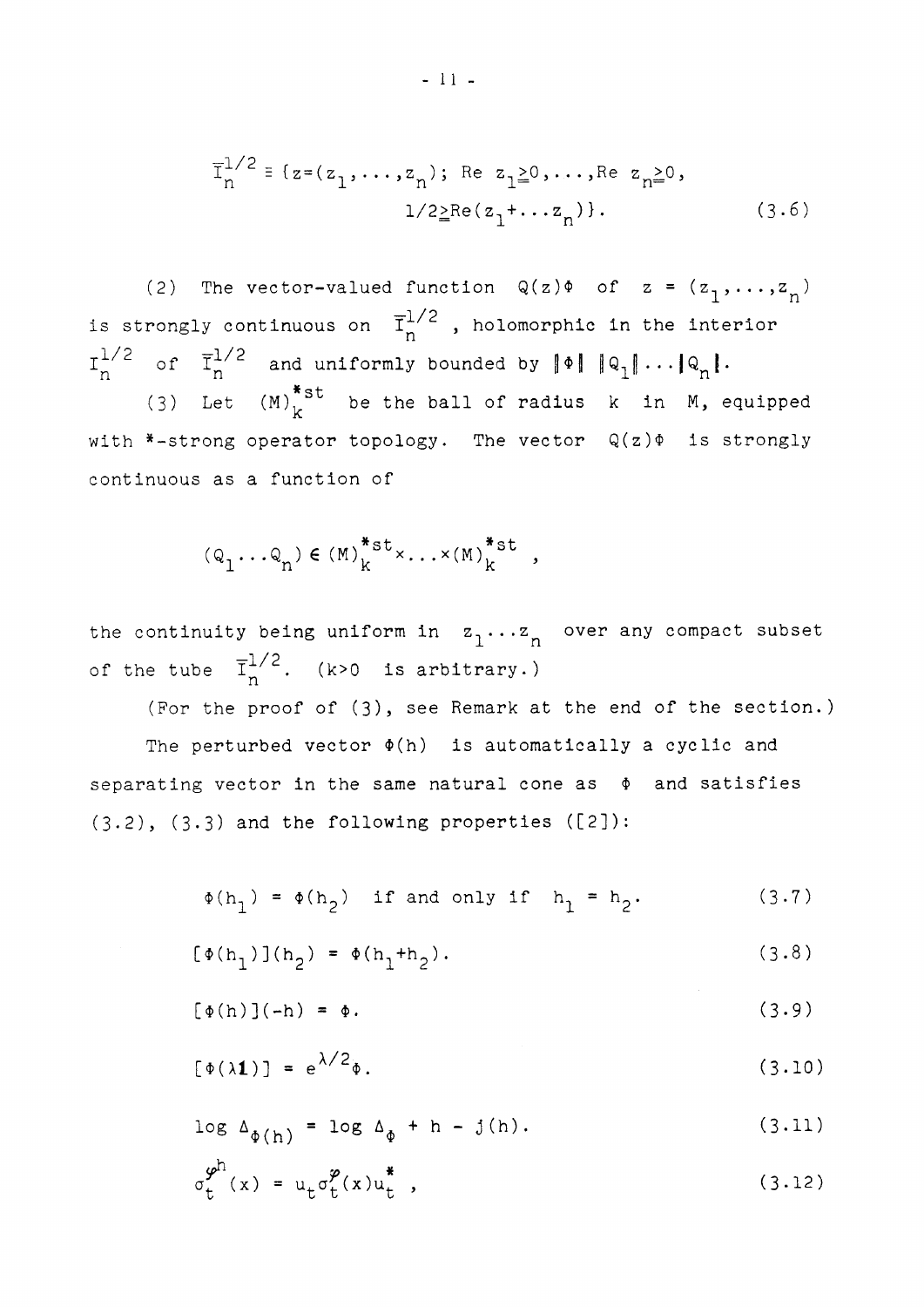$$
\overline{1}_{n}^{1/2} = \{z = (z_1, \dots, z_n) \; ; \; \text{Re } z_1 \ge 0, \dots, \text{Re } z_n \ge 0, \quad 1/2 \ge \text{Re}(z_1 + \dots z_n) \}.
$$
 (3.6)

(2) The vector-valued function  $Q(z)$  of  $z = (z_1, \ldots, z_n)$ **—1/2**   $\sum_{i=1}^{n}$  continuous on  $\sum_{i=1}^{n}$  , holomorphics in the interior  $I_n^{1/2}$  of  $\overline{I}_n^{1/2}$  and uniformly bounded by  $\|\Phi\| \|Q_1\| \ldots |Q_n|.$ 

(3) Let  $(M)_{k}^{*st}$  be the ball of radius k in M, equipped with \*-strong operator topology. The vector  $Q(z)\Phi$  is strongly continuous as a function of

$$
(\mathbf{Q}_1 \dots \mathbf{Q}_n) \in (\mathbf{M})_k^{**} \times \dots \times (\mathbf{M})_k^{**} \quad ,
$$

the continuity being uniform in  $z_1 \ldots z_n$  over any compact subse of the tube  $\overline{I}_n^{1/2}$ . (k>0 is arbitrary.)

(For the proof of (3), see Remark at the end of the section.) The perturbed vector  $\Phi(h)$  is automatically a cyclic and separating vector in the same natural cone as  $\phi$  and satisfies  $(3.2)$ ,  $(3.3)$  and the following properties  $([2])$ :

$$
\Phi(h_1) = \Phi(h_2) \quad \text{if and only if} \quad h_1 = h_2. \tag{3.7}
$$

$$
[\Phi(h_1)](h_2) = \Phi(h_1 + h_2). \tag{3.8}
$$

$$
[\Phi(h)](-h) = \Phi.
$$
 (3.9)

$$
[\Phi(\lambda \mathbf{1})] = e^{\lambda/2} \Phi. \tag{3.10}
$$

$$
\log \Delta_{\phi(h)} = \log \Delta_{\phi} + h - j(h). \qquad (3.11)
$$

$$
\sigma_t^{\mathbf{y}^h}(x) = u_t \sigma_t^{\mathbf{y}}(x) u_t^*, \qquad (3.12)
$$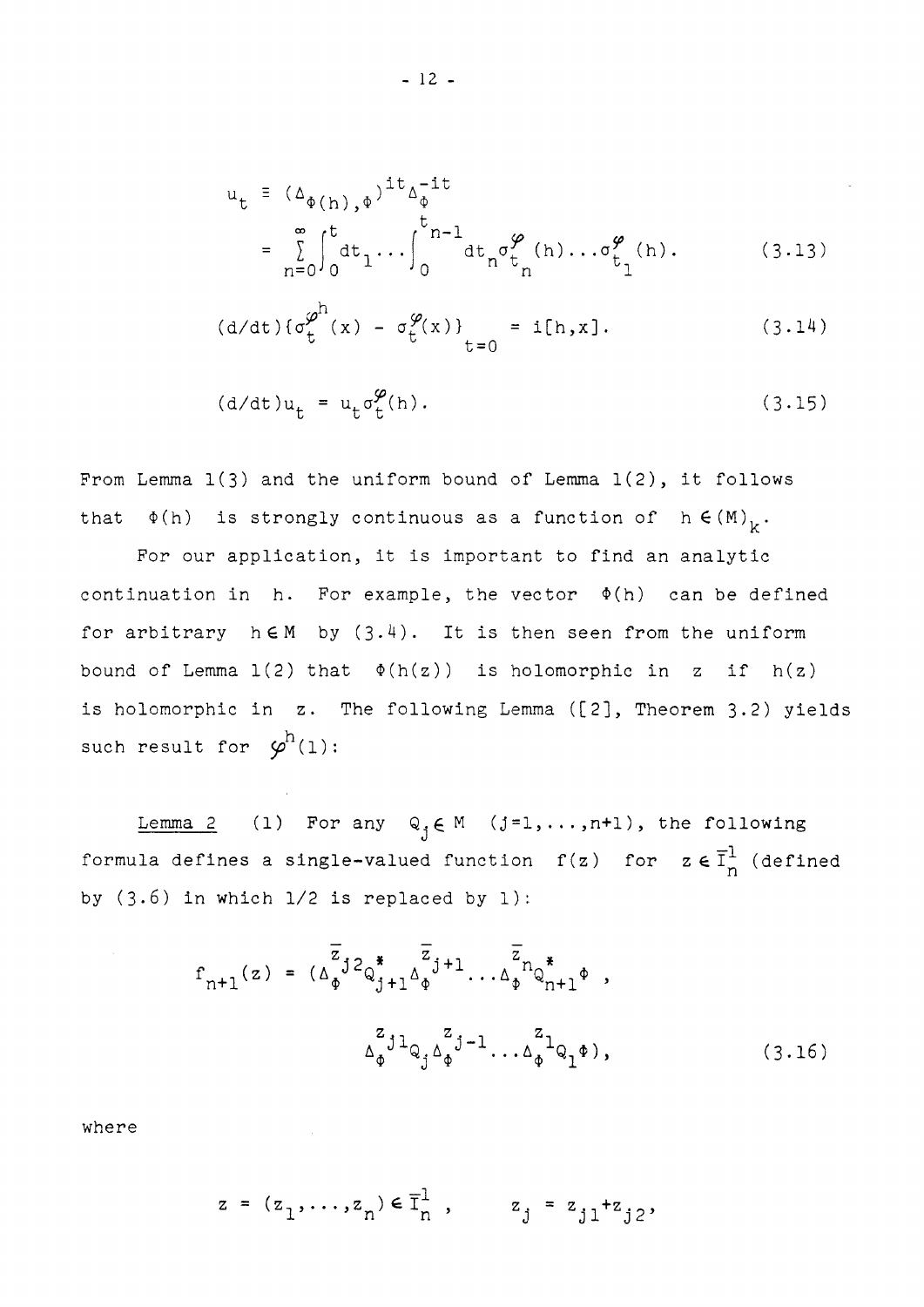$$
u_{t} = (\Delta_{\phi(h)}, \phi)^{it} \Delta_{\phi}^{-it}
$$
  

$$
= \sum_{n=0}^{\infty} \int_{0}^{t} dt_{1} \dots \int_{0}^{t_{n-1}} dt_{n} \sigma_{t_{n}}^{\varphi(h)} \dots \sigma_{t_{1}}^{\varphi(h)}.
$$
 (3.13)

$$
(d/dt)\{\sigma_t^{\mathcal{D}^h}(x) - \sigma_t^{\mathcal{G}}(x)\}\n= i[h,x].
$$
\n(3.14)

$$
(d/dt)u_t = u_t \sigma_t^{\mathcal{P}}(h). \qquad (3.15)
$$

Prom Lemma 1(3) and the uniform bound of Lemma 1(2), it follows that  $\Phi(h)$  is strongly continuous as a function of h  $\epsilon(M)_{k}$ .

For our application, it is important to find an analytic continuation in h. For example, the vector  $\Phi(h)$  can be defined for arbitrary  $h \in M$  by  $(3.4)$ . It is then seen from the uniform bound of Lemma  $1(2)$  that  $\Phi(h(z))$  is holomorphic in z if h(z) is holomorphic in z. The following Lemma ([2], Theorem 3.2) yields such result for  $\varphi^h(1)$ :

<u>Lemma 2</u> (1) For any  $Q_i \in M$  (j=1,...,n+1), the following  $\mathbf{v}$ for the definition function function  $f(x)$  for  $f(x)$  (defined by **(3-6)** in which 1/2 is replaced by 1):

$$
f_{n+1}(z) = (\Delta_{\Phi}^{\overline{z}})^{2} Q_{j+1}^{\frac{z}{2}} \Delta_{\Phi}^{\frac{z}{2}j+1} \dots \Delta_{\Phi}^{\overline{z}}^{n} Q_{n+1}^{\frac{z}{2}} \Phi ,
$$
  

$$
\Delta_{\Phi}^{z} J^{1} Q_{j} \Delta_{\Phi}^{z} J^{-1} \dots \Delta_{\Phi}^{z} Q_{1} \Phi ), \qquad (3.16)
$$

where

$$
\mathbf{z} = (\mathbf{z}_1, \dots, \mathbf{z}_n) \in \mathbb{T}_n^1 \quad , \qquad \mathbf{z}_j = \mathbf{z}_{j1} + \mathbf{z}_{j2},
$$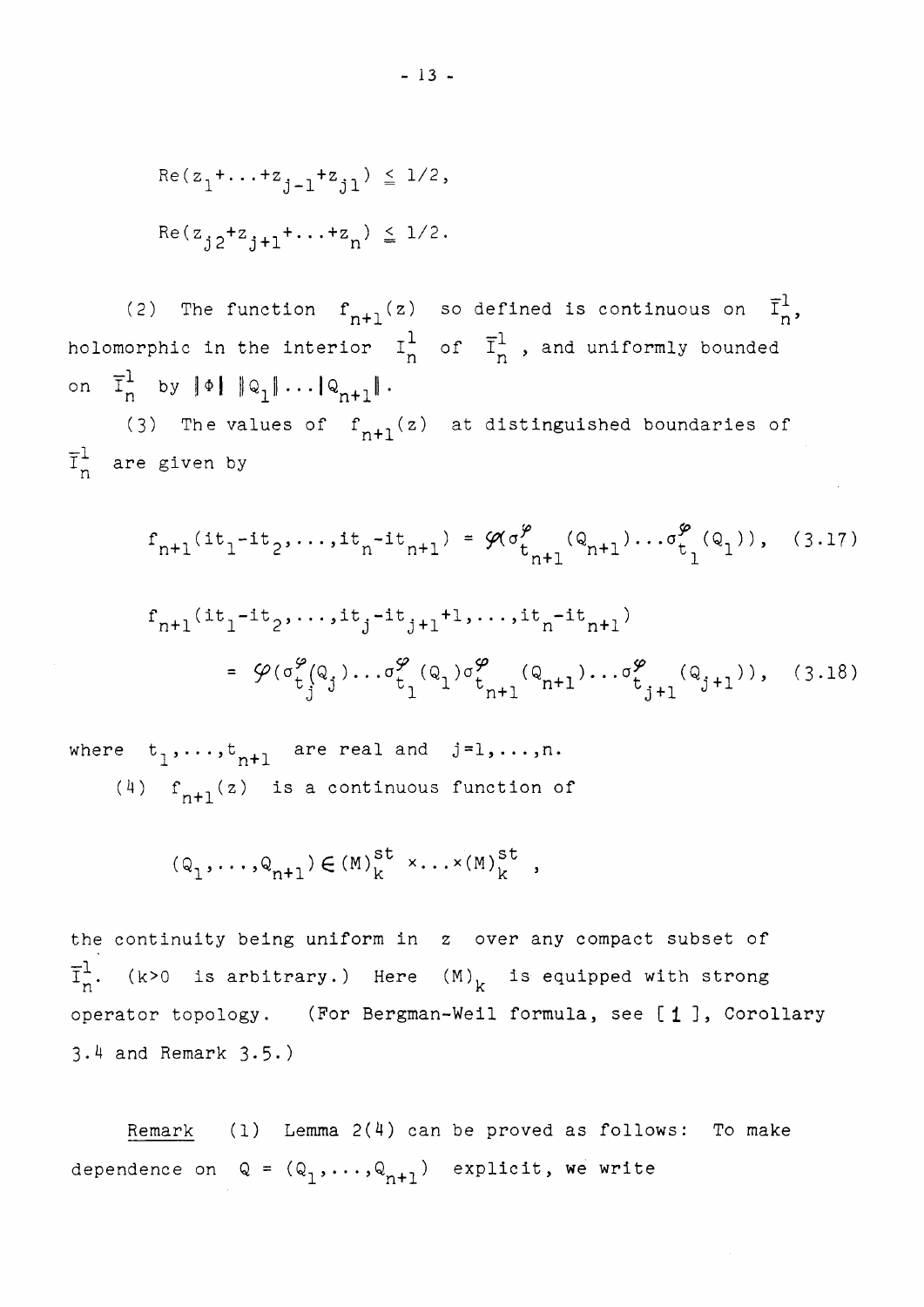Re(
$$
z_1
$$
<sup>+</sup>...+ $z_{j-1}$ <sup>+ $z_{j1}$</sup> )  $\leq$  1/2,  
Re( $z_{j2}$ <sup>+ $z_{j+1}$</sup> +...+ $z_n$ )  $\leq$  1/2.

(2) The function  $f_{n+1}(z)$  so defined is continuous on  $\bar{I}_n^1$ , holomorphic in the interior  $I_n^1$  of  $\overline{I}_n^1$ , and uniformly bounded on  $\overline{I}_n^1$  by  $\|\Phi\|$   $\|Q_1\| \ldots |Q_{n+1}\|$ .

on *ll* by |«| **|Qj...|Qn+1 |. (3)** The values of *^n+i^<sup>z</sup>^* <sup>a</sup> <sup>t</sup> distinguished boundaries of I<sup> $\frac{1}{n}$ </sup> are given by

$$
f_{n+1}(it_1-it_2,...,it_n-it_{n+1}) = \mathcal{G}(\sigma_{t_{n+1}}^{\varphi}(Q_{n+1})... \sigma_{t_1}^{\varphi}(Q_1)), \quad (3.17)
$$
  

$$
f_{n+1}(it_1-it_2,...,it_j-it_{j+1}+1,...,it_n-it_{n+1})
$$
  

$$
= \mathcal{G}(\sigma_{t_j}^{\varphi}(Q_j)... \sigma_{t_1}^{\varphi}(Q_1) \sigma_{t_{n+1}}^{\varphi}(Q_{n+1})... \sigma_{t_{j+1}}^{\varphi}(Q_{j+1})), \quad (3.18)
$$

where  $t_1, \ldots, t_{n+1}$  are real and  $j=1,\ldots,n$ . (4)  $f_{n+1}(z)$  is a continuous function of

$$
(\mathbf{Q}_1, \ldots, \mathbf{Q}_{n+1}) \in (\mathbf{M})^{\mathrm{st}}_k \times \ldots \times (\mathbf{M})^{\mathrm{st}}_k,
$$

the continuity being uniform in z over any compact subset of  $\overline{I}_n^1$ . (k>0 is arbitrary.) Here (M)<sub>k</sub> is equipped with strong operator topology. (For Bergman-Weil formula, see [1], Corollary operator topology. (For  $B = \frac{1}{2}$ ,  $\frac{1}{2}$ ,  $\frac{1}{2}$ ,  $\frac{1}{2}$ ,  $\frac{1}{2}$ ,  $\frac{1}{2}$ ,  $\frac{1}{2}$ ,  $\frac{1}{2}$ ,  $\frac{1}{2}$ ,  $\frac{1}{2}$ ,  $\frac{1}{2}$ ,  $\frac{1}{2}$ ,  $\frac{1}{2}$ ,  $\frac{1}{2}$ ,  $\frac{1}{2}$ ,  $\frac{1}{2}$ ,  $\frac{1}{2}$ ,  $\frac{1}{2}$ 

Remark **(1)** Lemma 2(4) can be proved as follows: To make dependence on  $Q = (Q^1_1, \ldots, Q^n_{n+1})$  explicit, we write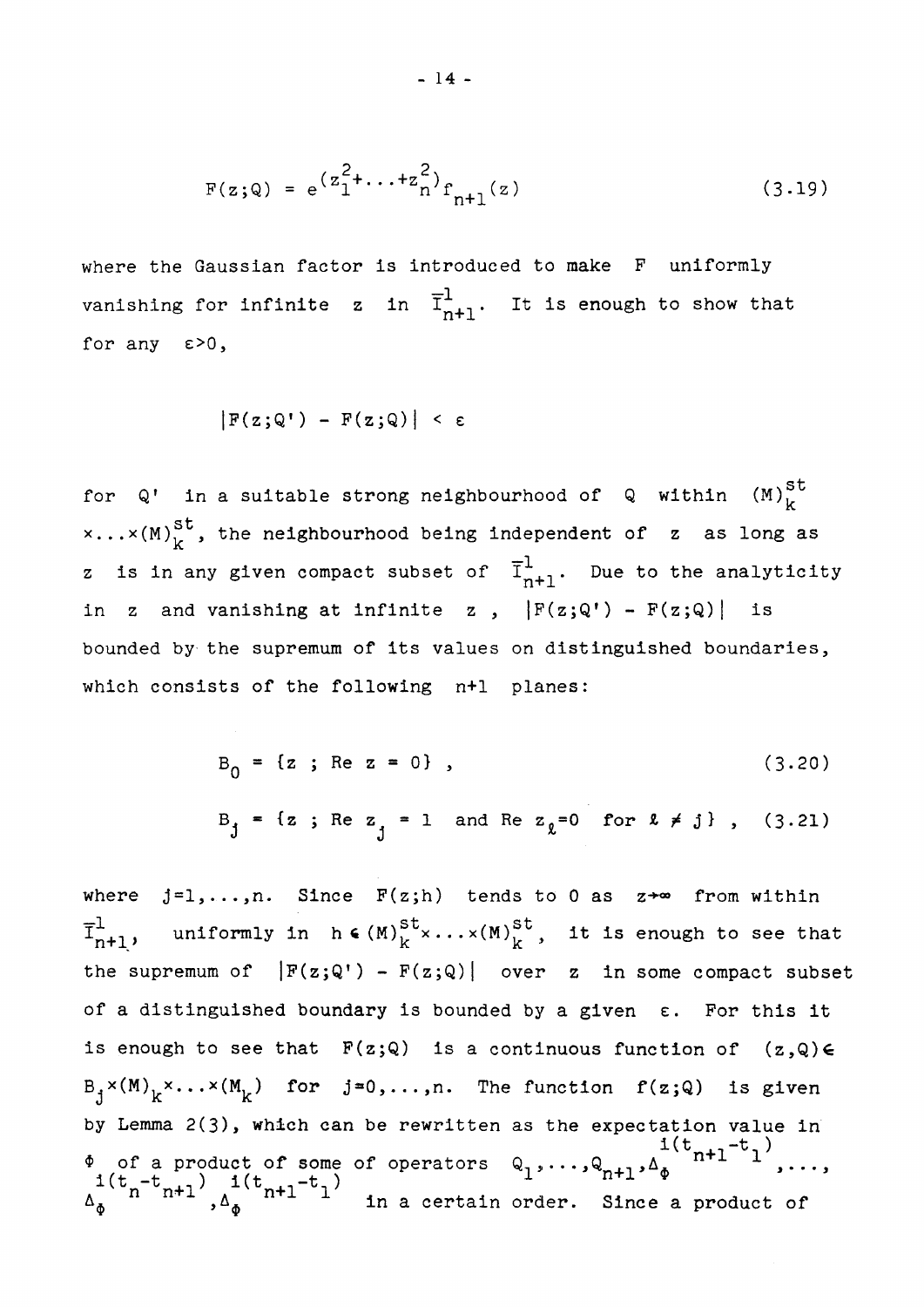$$
F(z; Q) = e^{(z_1^2 + \dots + z_n^2)} f_{n+1}(z)
$$
 (3.19)

where the Gaussian factor is introduced to make F uniformly vanishing for infinite z in  $I_{n+1}^+$ . It is enough to show that for any  $\varepsilon > 0$ ,

$$
|F(z;Q') - F(z;Q)| < \varepsilon
$$

for Q' in a suitable strong neighbourhood of Q within  $(M)^{st}_{k}$  $f$  in a suitable strong neighbourhood of  $\mathbb{R}^n$  $k$ ,  $\overline{\ }$ z is in any given compact subset of  $\overline{I}_{n+1}^1$ . Due to the analyticity z and vanishing at infinite z,  $|F(z;\omega') - F(z;\omega)|$  is bounded by the supremum of its values on distinguished boundaries, which consists of the following n+1 planes:

$$
B_0 = \{z ; Re z = 0\}, \qquad (3.20)
$$

$$
B_j = \{z ; Re z_j = 1 \text{ and } Re z_k = 0 \text{ for } k \neq j\}, (3.21)
$$

where  $j=1,\ldots,n$ . Since  $F(z;h)$  tends to 0 as  $z\rightarrow\infty$  from within  $\overline{I}_{n+1}^1$ , uniformly in h  $\epsilon$  (M)  $_k^{st}$  x... $\times$ (M)  $_k^{st}$ , it is enough to see that the supremum of  $|F(z;Q') - F(z;Q)|$  over z in some compact subset of a distinguished boundary is bounded by a given  $\varepsilon$ . For this it is enough to see that  $F(z;Q)$  is a continuous function of  $(z,Q)$  $B_j \times (M)_k \times ... \times (M_k)$  for  $j=0,...,n$ . The function  $f(z;Q)$  is given by Lemma 2(3), which can be rewritten as the expectation value in  $\text{int}^{\text{t}}$  n+1<sup>-v</sup>1' of a product of some of operators  $\mathbf{q}_1, \dots, \mathbf{q}_{n+1}, \mathbf{a}_{\phi}$  , , , ,  $\frac{1}{\phi}$   $\frac{1}{\phi}$   $\frac{1}{\phi}$   $\frac{1}{\phi}$   $\frac{1}{\phi}$  in a certain order. Since a product of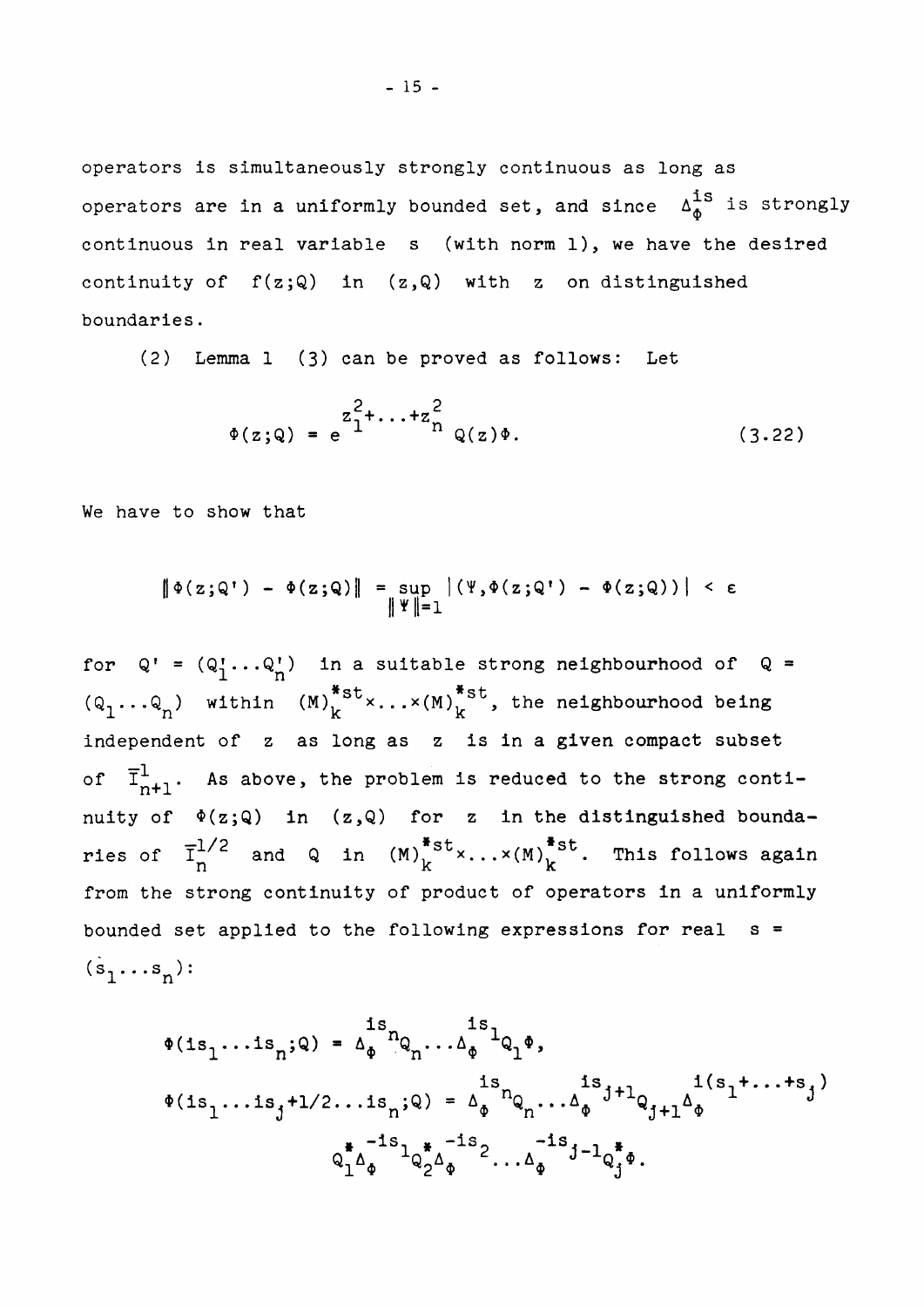operators is simultaneously strongly continuous as long as operators are in a uniformly bounded set, and since  $\Delta_{\phi}^{\text{is}}$  is strongly continuous in real variable  $s$  (with norm 1), we have the desired continuity of  $f(z; Q)$  in  $(z, Q)$  with z on distinguished  $\alpha$  in doming

 $(2)$  Lemma 1  $(3)$  can be proved as follows: Let

$$
\Phi(z; Q) = e^{Z_1^2 + ... + Z_n^2} Q(z) \Phi.
$$
 (3.22)

We have to show that

$$
\|\Phi(z;Q^{\dagger}) - \Phi(z;Q)\| = \sup_{\|\Psi\|=1} |(\Psi,\Phi(z;Q^{\dagger}) - \Phi(z;Q))| < \epsilon
$$

for  $Q' = (Q_1'$ . .. $Q_n'$ ) in a suitable strong neighbourhood of Q  $(Q_1 \ldots Q_n)$  within  $(M)_k^{\text{*st}} \times \ldots \times (M)_k^{\text{*st}}$ , the neighbourhood being independent of z as long as z is in a given compact subset of  $\text{I}^+_{n+1}$ . As above, the problem is reduced to the strong continuity of  $\Phi(z;Q)$  in  $(z,Q)$  for z in the distinguished boundaries of  $\overline{I}_n^{1/2}$  and Q in  $(M)_k^{*st} \times ... \times (M)_k^{*st}$ . This follows again from the strong continuity of product of operators in a uniformly bounded set applied to the following expressions for real  $s =$  $(s_1 \ldots s_n)$ :

$$
\Phi(is_1...is_n; Q) = \Delta_{\phi}^{is} n_{Q_n}... \Delta_{\phi}^{is} 1_{Q_1 \phi},
$$
  
\n
$$
\Phi(is_1...is_j+1/2...is_n; Q) = \Delta_{\phi}^{is} n_{Q_n}... \Delta_{\phi}^{is_j+1} 1_{Q_j+1} \Delta_{\phi}^{i(s_1+...+s_j)}
$$
  
\n
$$
Q_1^* \Delta_{\phi}^{-1s} 1_{Q_2^* \Delta_{\phi}^{-1}}^{-is_j} ... \Delta_{\phi}^{-is_j-1} 1_{Q_j^* \phi}.
$$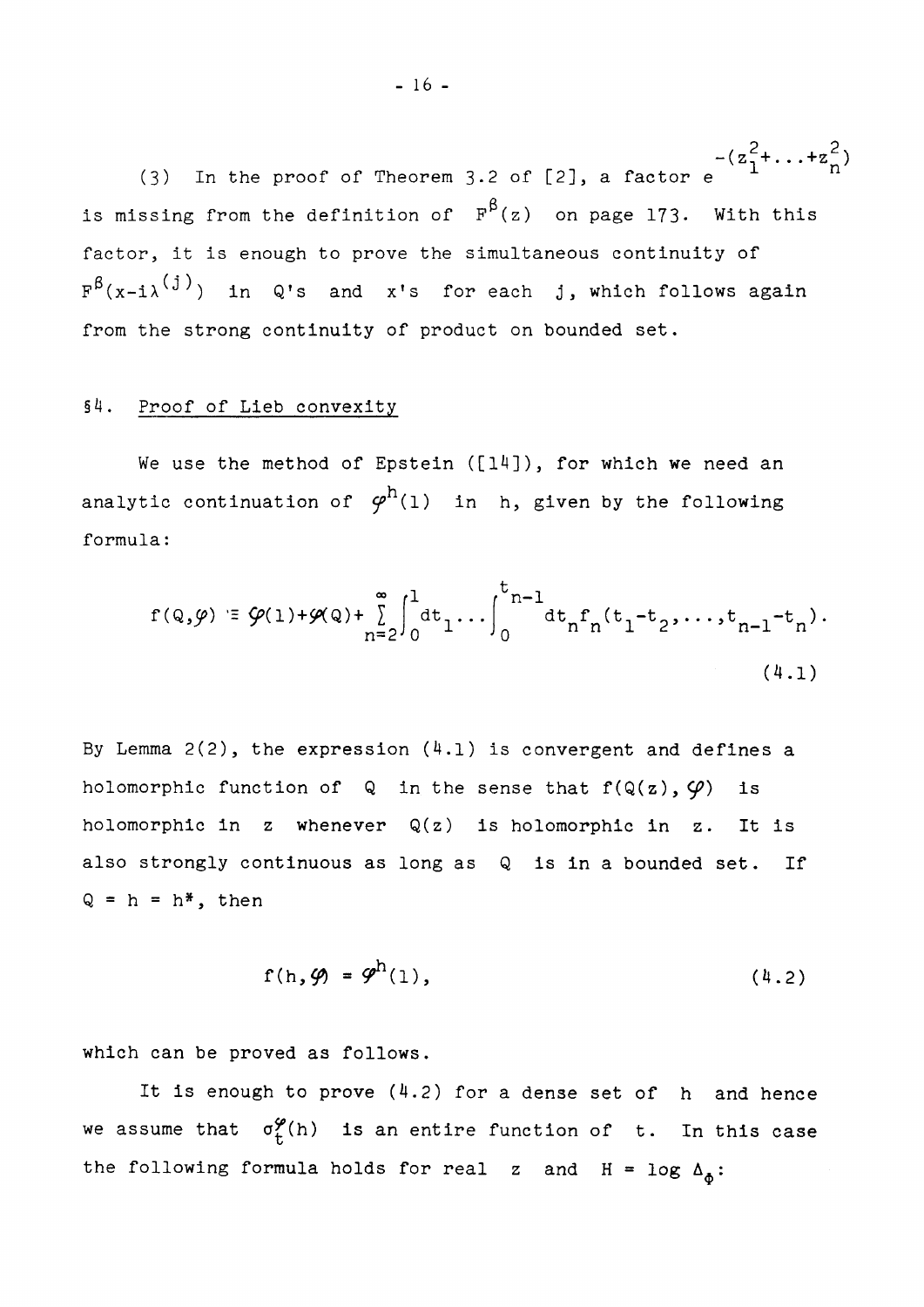Ρ  $\mathbf{r} \cdot \mathbf{r} \cdot \mathbf{r} \cdot \mathbf{r} \cdot \mathbf{n}$ (3) In the proof of Theorem 3.2 of [2], a factor e is missing from the definition of  $F^{\beta}(z)$  on page 173. With this is missing from the définition of F (z) on page 173- With this factor, it is enough to prove the simultaneous continuity of  $F^{\beta}(x-i\lambda^{(j)})$  in Q's and x's for each j, which follows again from the strong continuity of product on bounded set.

### §4. Proof of Lieb convexity

We use the method of Epstein ([14]), for which we need an analytic continuation of  $\varphi^h(1)$  in h, given by the following formula :

$$
f(q,\varphi) = \varphi(1) + \varphi(q) + \sum_{n=2}^{\infty} \int_{0}^{1} dt_1 \dots \int_{0}^{t_{n-1}} dt_n f_n(t_1 - t_2, \dots, t_{n-1} - t_n).
$$
\n(4.1)

By Lemma 2(2), the expression (4.1) is convergent and defines a holomorphic function of Q in the sense that  $f(Q(z), \varphi)$  is holomorphic in z whenever  $Q(z)$  is holomorphic in z. It is also strongly continuous as long as Q is in a bounded set. If  $Q = h = h^*$ , then

$$
f(h, \mathcal{G}) = \mathcal{G}^h(1), \qquad (4.2)
$$

which can be proved as follows.

It is enough to prove (4.2) for a dense set of h and hence we assume that  $\sigma^\mathbf{y}_t(\hbox{h})$  is an entire function of  $\hbox{t}$ . In this case the following formula holds for real z and  $H = log \Delta_{\phi}$ :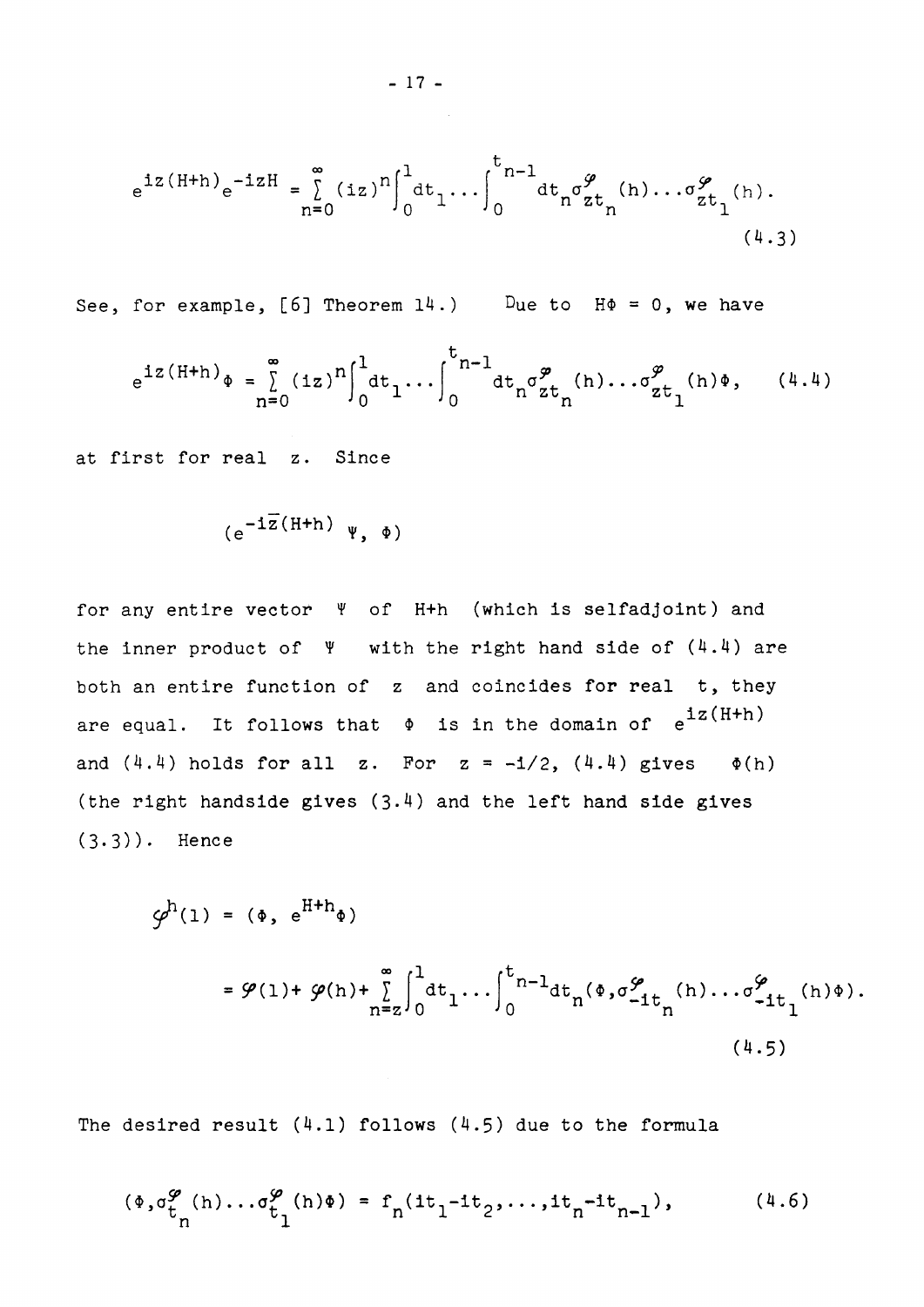$$
e^{iz(H+h)}e^{-izH} = \sum_{n=0}^{\infty} (iz)^n \int_0^1 dt_1 \dots \int_0^{t_{n-1}} dt_n \sigma_{zt_n}^{\varphi}(h) \dots \sigma_{zt_1}^{\varphi}(h).
$$
 (4.3)

See, for example,  $[6]$  Theorem  $14$ .) Due to  $H\Phi = 0$ , we have

$$
e^{iz(H+h)}\Phi = \sum_{n=0}^{\infty} (iz)^n \int_0^1 dt_1 \ldots \int_0^{t_{n-1}} dt_n \sigma_{zt_n}^{\mathcal{P}}(h) \ldots \sigma_{zt_1}^{\mathcal{P}}(h)\Phi, \qquad (4.4)
$$

at first for real z. Since

$$
(e^{-i\overline{z}(H+h)} \Psi, \Phi)
$$

for any entire vector  $\Psi$  of H+h (which is selfadjoint) and the inner product of  $Y$  with the right hand side of  $(4.4)$  are both an entire function of z and coincides for real t, they are equal. It follows that  $\phi$  is in the domain of  $e^{+2\left(\prod_{i=1}^{n}f_{i}\right)}$ and  $(4.4)$  holds for all z. For  $z = -1/2$ ,  $(4.4)$  gives  $\Phi(h)$ (the right handside gives **(3-4)** and the left hand side gives **(3-3))·** Hence

$$
\varphi^{h}(1) = (\Phi, e^{H+h}\Phi)
$$
  
=  $\varphi(1) + \varphi(h) + \sum_{n=2}^{\infty} \int_{0}^{1} dt_1 \cdots \int_{0}^{t_{n-1}} dt_n (\Phi, \sigma_{-1}^{\varphi} t_n(h) \cdots \sigma_{-1}^{\varphi} t_1(h)\Phi).$  (4.5)

The desired resuit **(4.1 )** follows **(4.5 )** due to the formula

$$
(\Phi_{1}\sigma_{t_{n}}^{\mathcal{G}}(h)\ldots\sigma_{t_{1}}^{\mathcal{G}}(h)\Phi) = f_{n}(it_{1} - it_{2},\ldots, it_{n} - it_{n-1}), \qquad (4.6)
$$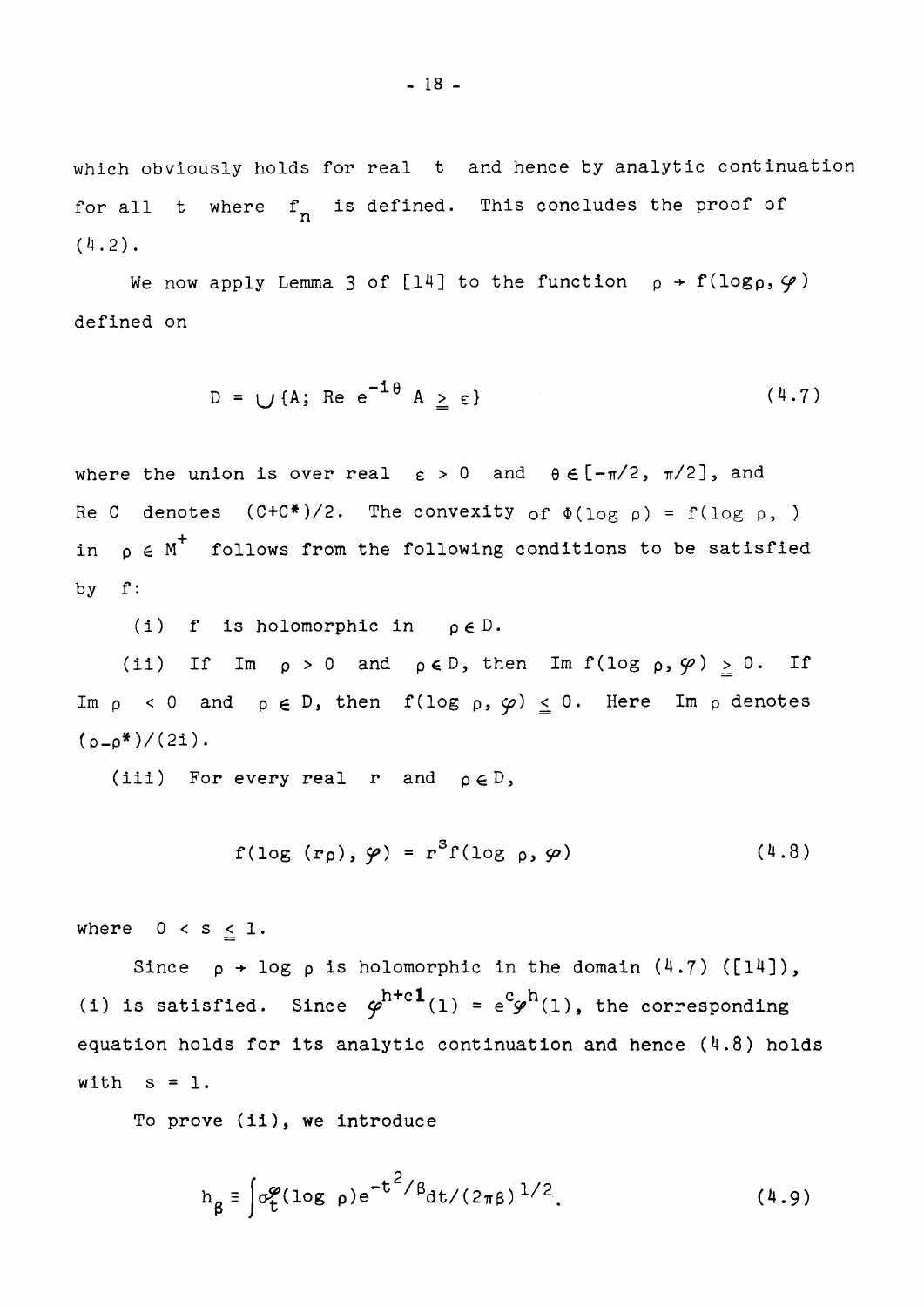which obviously holds for real t and hence by analytic continuation for all t where  $f_n$  is defined. This concludes the proof of  $\ddot{\phantom{0}}$  $(4.2)$ .

We now apply Lemma 3 of [14] to the function  $\rho + f(\log \rho, \varphi)$ defined on

$$
D = \bigcup \{ A; \text{ Re } e^{-1\theta} A \ge \epsilon \}
$$
 (4.7)

where the union is over real  $\varepsilon > 0$  and  $\theta \in [-\pi/2, \pi/2]$ , and Re C denotes  $(C+C^*)/2$ . The convexity of  $\Phi(\log p) = f(\log p, )$ in  $\rho \in M^+$  follows from the following conditions to be satisfied by  $f$ :

(i) f is holomorphic in  $\rho \in D$ .

(ii) If Im  $\rho > 0$  and  $\rho \in D$ , then Im  $f(\log \rho, \varphi) \geq 0$ . If Im  $\rho$  < 0 and  $\rho \in D$ , then  $f(\log \rho, \varphi) \leq 0$ . Here Im  $\rho$  denotes  $(p-p^*)/(2i)$ .

(iii) For every real r and  $\rho \in D$ ,

$$
f(\log (r_{\rho}), \varphi) = r^{S} f(\log \rho, \varphi) \qquad (4.8)
$$

where  $0 < s \leq 1$ .

Since  $\rho$  + log  $\rho$  is holomorphic in the domain  $(4.7)$  ([14]), (i) is satisfied. Since  $\varphi^{\text{h+cl}}(1) = e^c \varphi^{\text{h}}(1)$ , the corresponding équation holds for its analytic continuation and hence **(4.8)** holds with s = **1.** 

To prove (ii), we introduce

$$
h_{\beta} = \int \sigma_{t}^{e} (\log \rho) e^{-t^{2}/\beta} dt / (2\pi\beta)^{1/2}.
$$
 (4.9)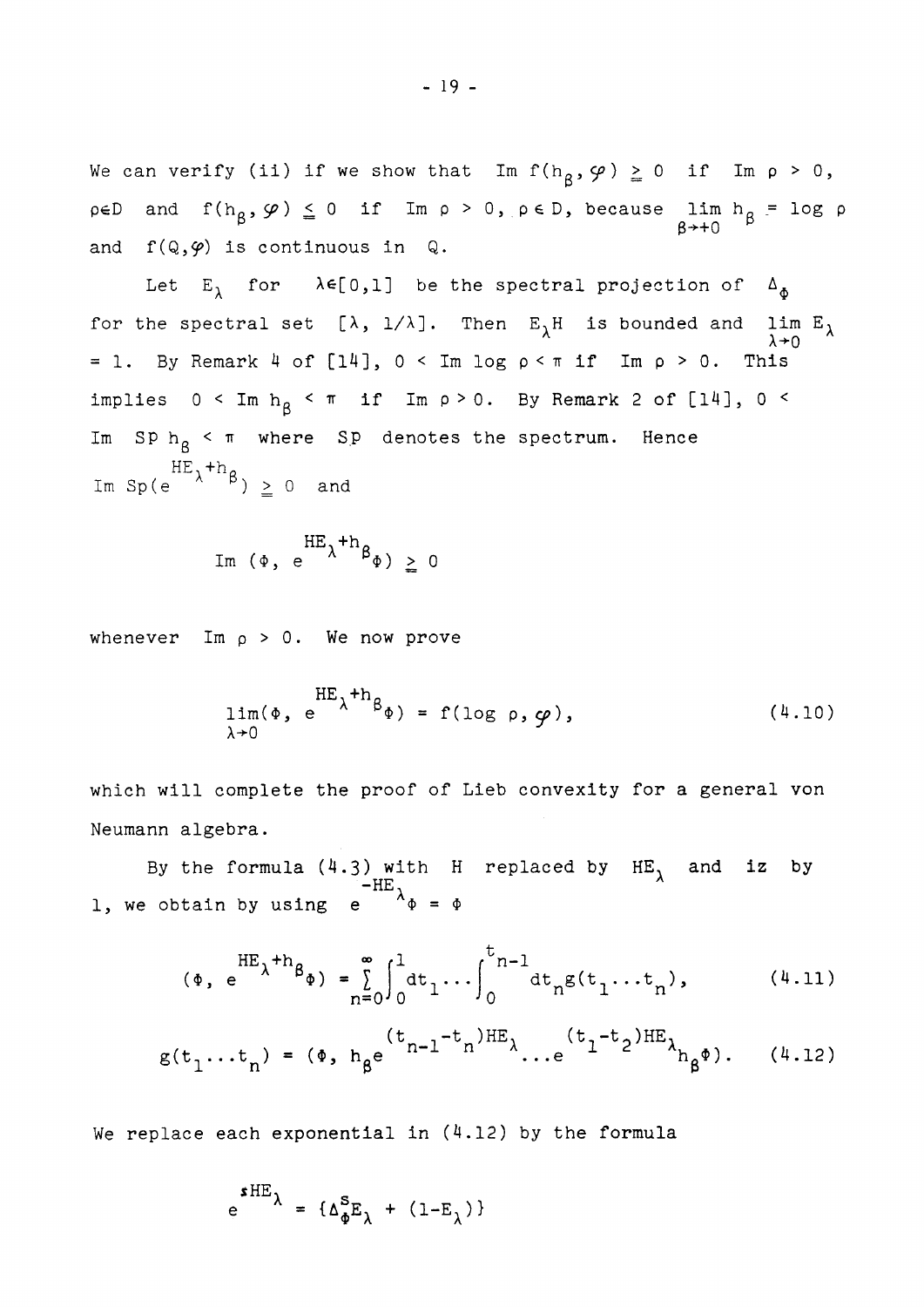We can verify (ii) if we show that Im  $f(h_{\beta}, \varphi) \ge 0$  if Im  $\rho > 0$ , p∈D and f(h<sub>g</sub>, $\varphi$ )  $\leq$  0 if Im p > 0, p∈D, because lim h<sub>g</sub> = log p  $\beta \rightarrow +0$ and  $f(Q,\varphi)$  is continuous in Q.

Let  $E_{\lambda}$  for  $\lambda \in [0,1]$  be the spectral projection of  $\Delta_{\Phi}$ for the spectral set  $[\lambda, 1/\lambda]$ . Then  $E_{\lambda}H$  is bounded and  $\lim_{\lambda \to 0} E_{\lambda}$  $\lambda \rightarrow 0$  $= 1.$  By Remark 4 of [14],  $0 < \text{Im}$  log  $\rho < \pi$  if  $\text{Im } \rho > 0.$  This implies  $0 < Im h_R < \pi$  if Im  $p > 0$ . By Remark 2 of [14], 0 < Im Sp  $h_{\beta}$  <  $\pi$  where Sp denotes the spectrum. Hence  $HE_1 + h_2$ Im  $\text{Sp}(e^{\sqrt{N}})^n \geq 0$  and

Im 
$$
(\Phi, e^{HE} \lambda^{+h} \beta_{\Phi}) \geq 0
$$

whenever  $\text{Im } \rho > 0$ . We now prove

$$
\lim_{\lambda \to 0} (\Phi, e^{HE_{\lambda} + h_{\beta}} \Phi) = f(\log \rho, \varphi), \qquad (4.10)
$$

which will complete the proof of Lieb convexity for a general von Neumann algebra.

By the formula  $(4.3)$  with H replaced by HE, and iz by  $-\mathsf{HE}_{\lambda}$  and  $-\mathsf{HE}_{\lambda}$  and  $-\mathsf{HE}_{\lambda}$  and  $-\mathsf{HE}_{\lambda}$  and  $-\mathsf{HE}_{\lambda}$  and  $-\mathsf{HE}_{\lambda}$  and  $-\mathsf{HE}_{\lambda}$  and  $-\mathsf{HE}_{\lambda}$  and  $-\mathsf{HE}_{\lambda}$  and  $-\mathsf{HE}_{\lambda}$  and  $-\mathsf{HE}_{\lambda}$  and  $-\mathsf{HE}_{\lambda}$  and  $-\mathsf{HE}_{\lambda}$  and  $-\mathsf{HE}_{\lambda}$  a  $\perp$ , we obtain by using  $e$   $q = \phi$ 

$$
(\Phi, e^{HE_{\lambda} + h_{\beta_{\Phi}}}) = \sum_{n=0}^{\infty} \int_{0}^{1} dt_{1} \cdots \int_{0}^{t_{n-1}} dt_{n} g(t_{1} \cdots t_{n}), \qquad (4.11)
$$

$$
g(t_1...t_n) = (\Phi, h_0 e^{(t_{n-1}-t_n)HE} \lambda ... e^{(t_1-t_2)HE} \lambda_{h_0 \Phi}).
$$
 (4.12)

We replace each exponential in  $(4.12)$  by the formula

$$
e^{\frac{\mathbf{x}HE}{\lambda}} = {\Delta_{\Phi}^{S}E_{\lambda} + (1 - E_{\lambda})}
$$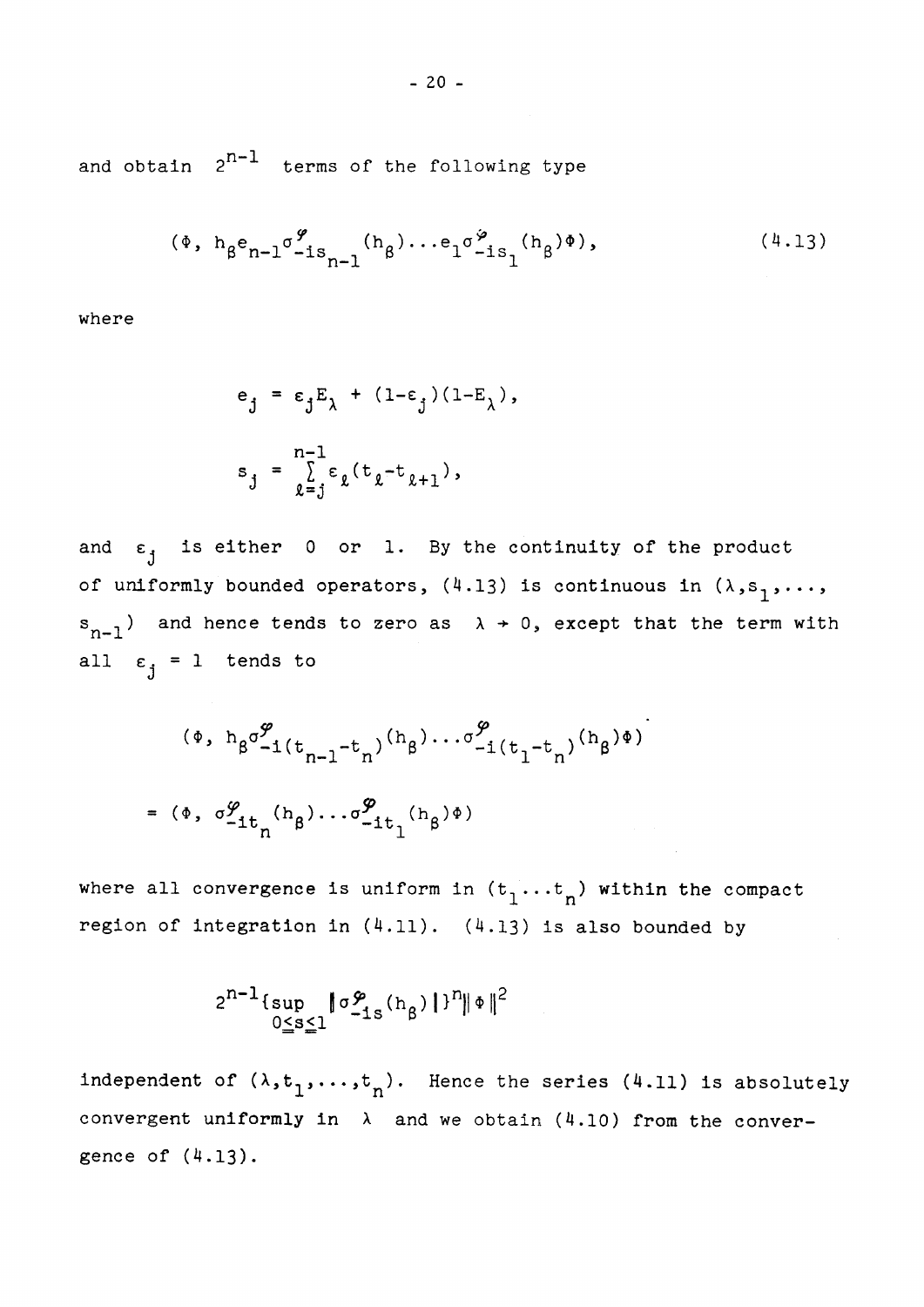1 and obtain 2 % terms of the following type

$$
(\Phi, h_{\beta}e_{n-1}\sigma_{-is_{n-1}}^{\varphi}(h_{\beta})...e_{1}\sigma_{-is_{1}}^{\varphi}(h_{\beta})^{\varphi}), \qquad (4.13)
$$

where

$$
e_j = \varepsilon_j E_\lambda + (1 - \varepsilon_j)(1 - E_\lambda),
$$
  

$$
s_j = \sum_{\ell=j}^{n-1} \varepsilon_\ell (t_\ell - t_{\ell+1}),
$$

and  $\epsilon_j$  is either 0 or 1. By the continuity of the product of uniformly bounded operators,  $(4.13)$  is continuous in  $(\lambda, s^1, \ldots,$  $s_{n-1}$ ) and hence tends to zero as  $\lambda + 0$ , except that the term with all  $\varepsilon_j = 1$  tends to

$$
(\Phi, h_{\beta}\sigma_{-1}^{\mathcal{P}}(t_{n-1}-t_{n})^{(h_{\beta})... \sigma_{-1}^{\mathcal{P}}(t_{1}-t_{n})^{(h_{\beta})\Phi})
$$
  
=  $(\Phi, \sigma_{-1}^{\mathcal{P}}(h_{\beta})... \sigma_{-1}^{\mathcal{P}}(h_{\beta})\Phi)$ 

where all convergence is uniform in  $(t_1 \ldots t_n)$  within the compact **l n**  région of intégration in (4.11). (4.13) is also bounded by

$$
2^{n-1}\{\sup_{0\leq s\leq 1}\|\sigma_{-1s}^{\varphi}(h_{\beta})\|^{n}\|\Phi\|^{2}
$$

independent of  $(\lambda, t_1, ..., t_n)$ . Hence the series (4.11) is absolutely convergent uniformly in  $\lambda$  and we obtain (4.10) from the convergence of (4.13).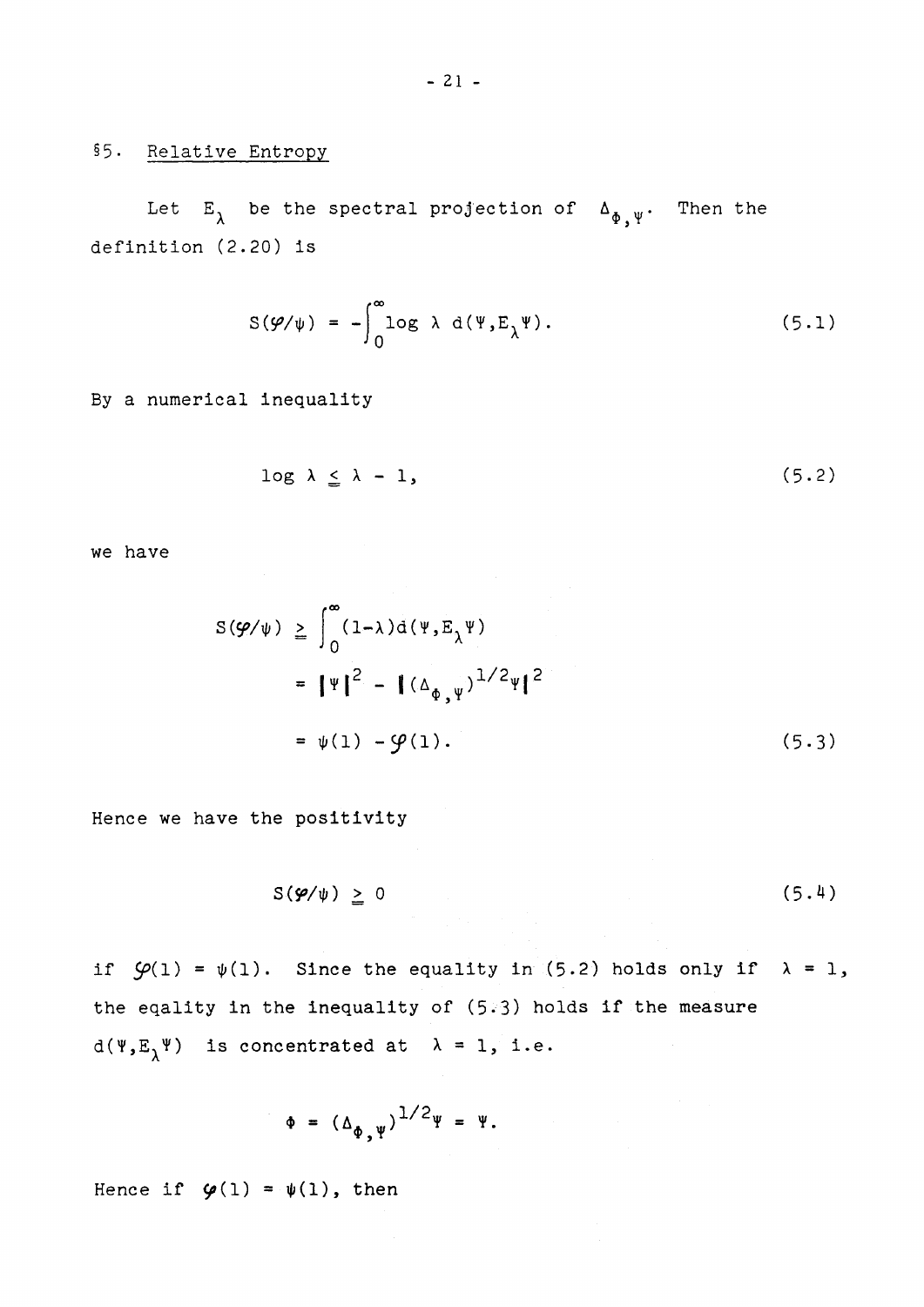**§5**· Relative Entropy

Let  $E_{\lambda}$  be the spectral projection of  $\Delta_{\Phi,\Psi}$ . Then the définition (2.20) is

$$
S(\mathcal{Y}/\psi) = -\int_0^\infty \log \lambda d(\Psi, E_\lambda \Psi). \tag{5.1}
$$

By a numerical inequality

$$
\log \lambda \leq \lambda - 1, \tag{5.2}
$$

we have

$$
S(\varphi/\psi) \ge \int_0^\infty (1-\lambda)d(\Psi, E_\lambda \Psi)
$$
  
= 
$$
|\Psi|^2 - |(\Delta_{\Phi, \Psi})^{1/2}\Psi|^2
$$
  
= 
$$
\psi(1) - \varphi(1).
$$
 (5.3)

Hence we have the positivity

 $S(\varphi/\psi) \geq 0$  (5.4)

if  $\mathcal{G}(1) = \psi(1)$ . Since the equality in (5.2) holds only if  $\lambda = 1$ , the eqality in the inequality of (5·3) holds if the measure  $d(\Psi, E_{\lambda}\Psi)$  is concentrated at  $\lambda = 1$ , i.e.

$$
\Phi = (\Delta_{\Phi, \Psi})^{1/2} \Psi = \Psi.
$$

Hence if  $\varphi(1) = \psi(1)$ , then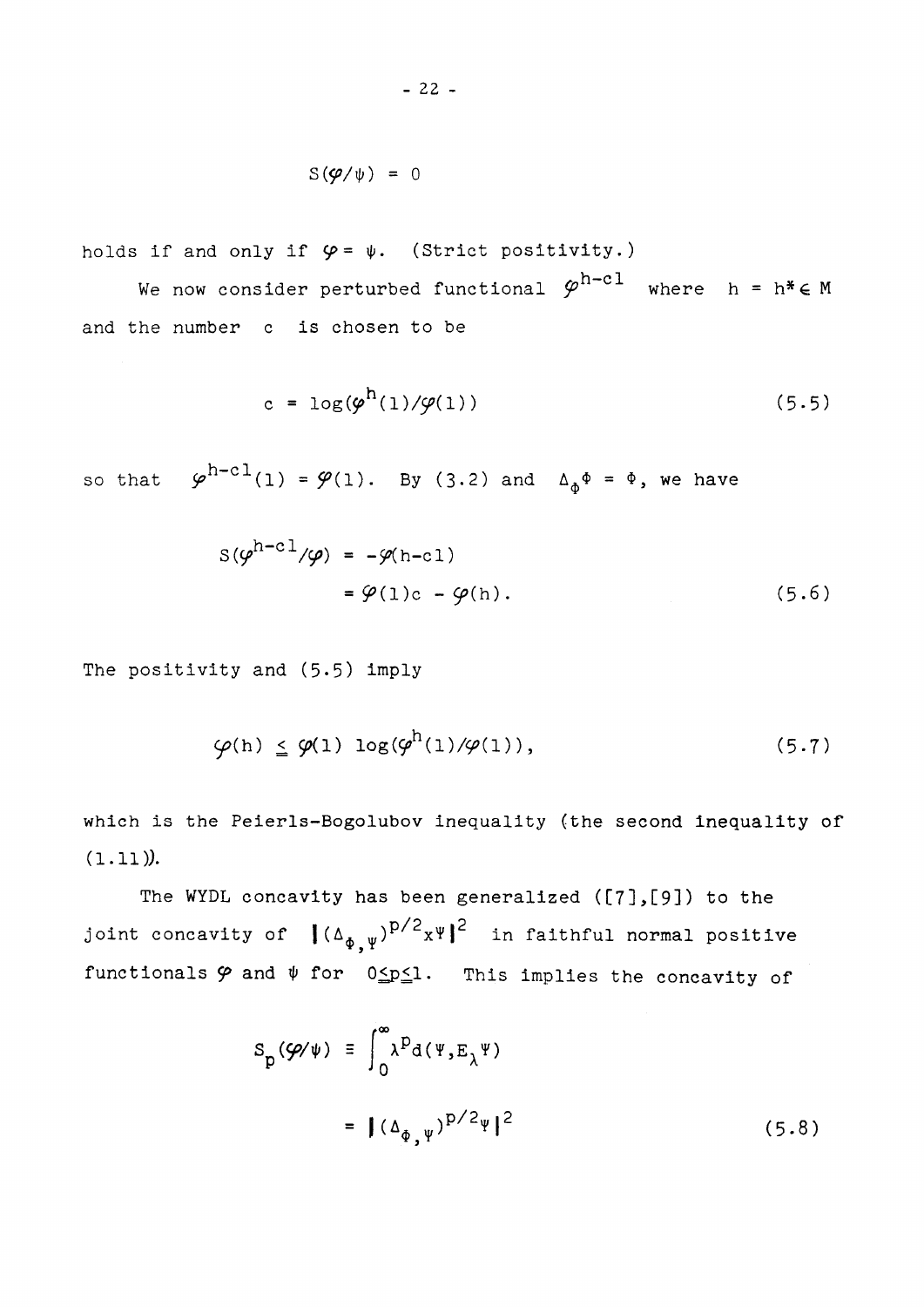$$
S(\varphi/\psi) = 0
$$

holds if and only if  $\varphi = \psi$ . (Strict positivity.)

We now consider perturbed functional  $\varphi^{h-c1}$  where  $h = h^* \in M$ and the number c is chosen to be

$$
c = \log(\varphi^{n}(1)/\varphi(1))
$$
 (5.5)

so that  $\varphi^{n-\circlearrowright\text{-}1}(1) = \varphi(1)$ . By (3.2) and  $\Delta_{\Phi}^{\phi} = \Phi$ , we have

$$
S(\varphi^{h-c1}/\varphi) = -\varphi(h-c1)
$$
  
=  $\varphi(1)c - \varphi(h)$ . (5.6)

The positivity and **(5·5)** imply

$$
\varphi(h) \leq \varphi(1) \log(\varphi^h(1)/\varphi(1)), \qquad (5.7)
$$

which is the Peierls-Bogolubov inequality (the second inequality of  $(1.11)$ 

The WYDL concavity has been generalized ([7], [9]) to the joint concavity of  $\left[ (\Delta_{\tilde{\Phi}_{\bot}\Psi})^{17/2}x^{\Psi} \right]^{-1}$  in faithful normal positive functionals  $\varphi$  and  $\psi$  for  $0 \leq p \leq 1$ . This implies the concavity of

$$
S_p(\mathcal{G}/\psi) \equiv \int_0^\infty \lambda^p d(\Psi, E_\lambda \Psi)
$$
  
=  $\int (\Delta_{\Phi, \Psi})^{p/2} \Psi|^2$  (5.8)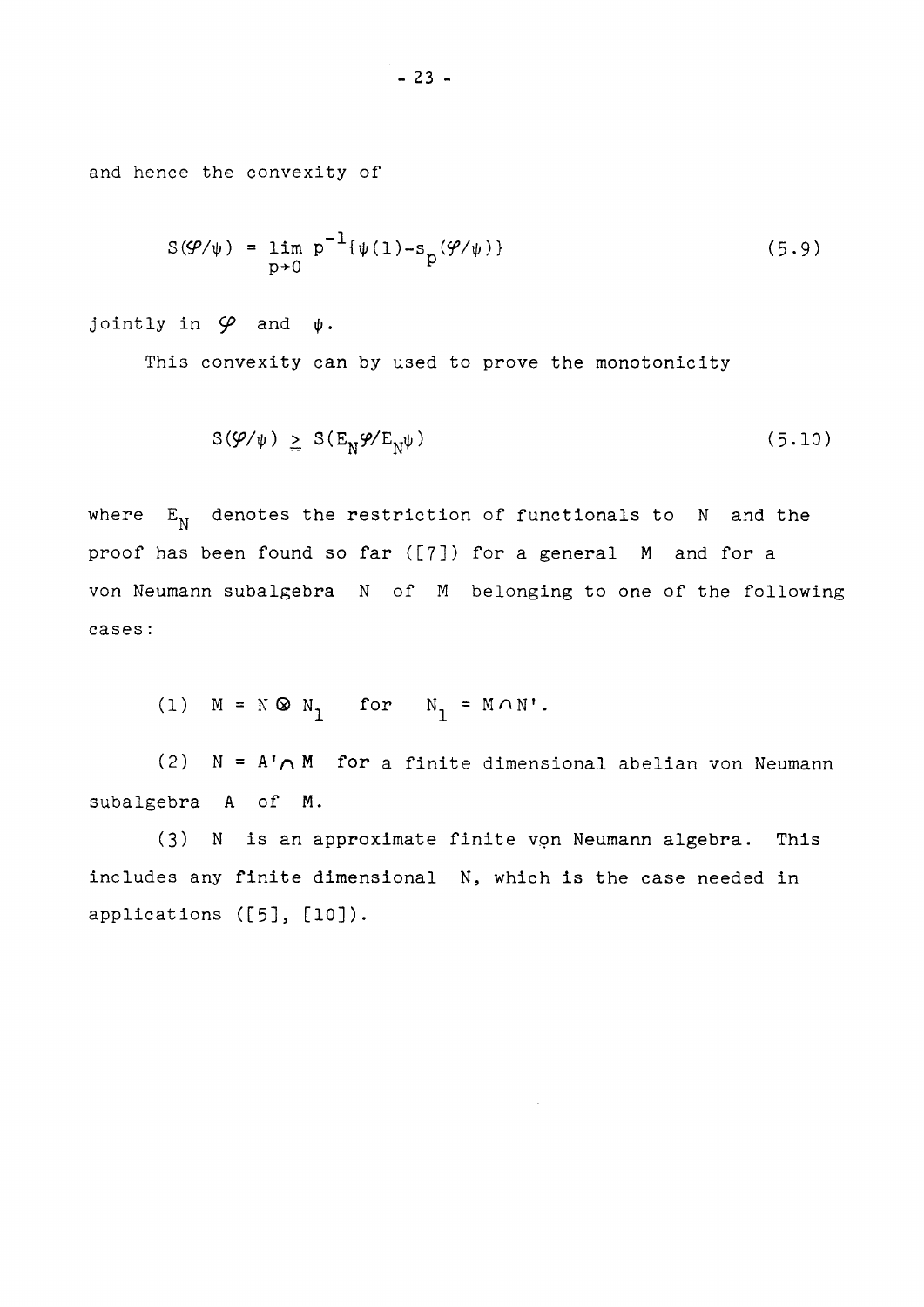and hence the convexity of

$$
S(\mathcal{P}/\psi) = \lim_{p \to 0} p^{-1} \{ \psi(1) - s_p(\mathcal{P}/\psi) \}
$$
 (5.9)

jointly in  $\varphi$  and  $\psi$ .

This convexity can by used to prove the monotonicity

$$
S(\mathcal{Y}/\psi) \geq S(E_{N}\mathcal{Y}/E_{N}\psi) \tag{5.10}
$$

where  $E_{N}$  denotes the restriction of functionals to N and the proof has been found so far ([7]) for a general M and for a von Neumann subalgebra N of M belonging to one of the following cases :

 $(1)$   $M = N \otimes N_1$  for  $N_1 = M \cap N'$ .

**( 2 )** = ! **M** for a finite dimensional abelian von Neumann subalgebra A of M.

(3) N is an approximate finite von Neumann algebra. This includes any finite dimensional N, which is the case needed in applications ([5], [10]).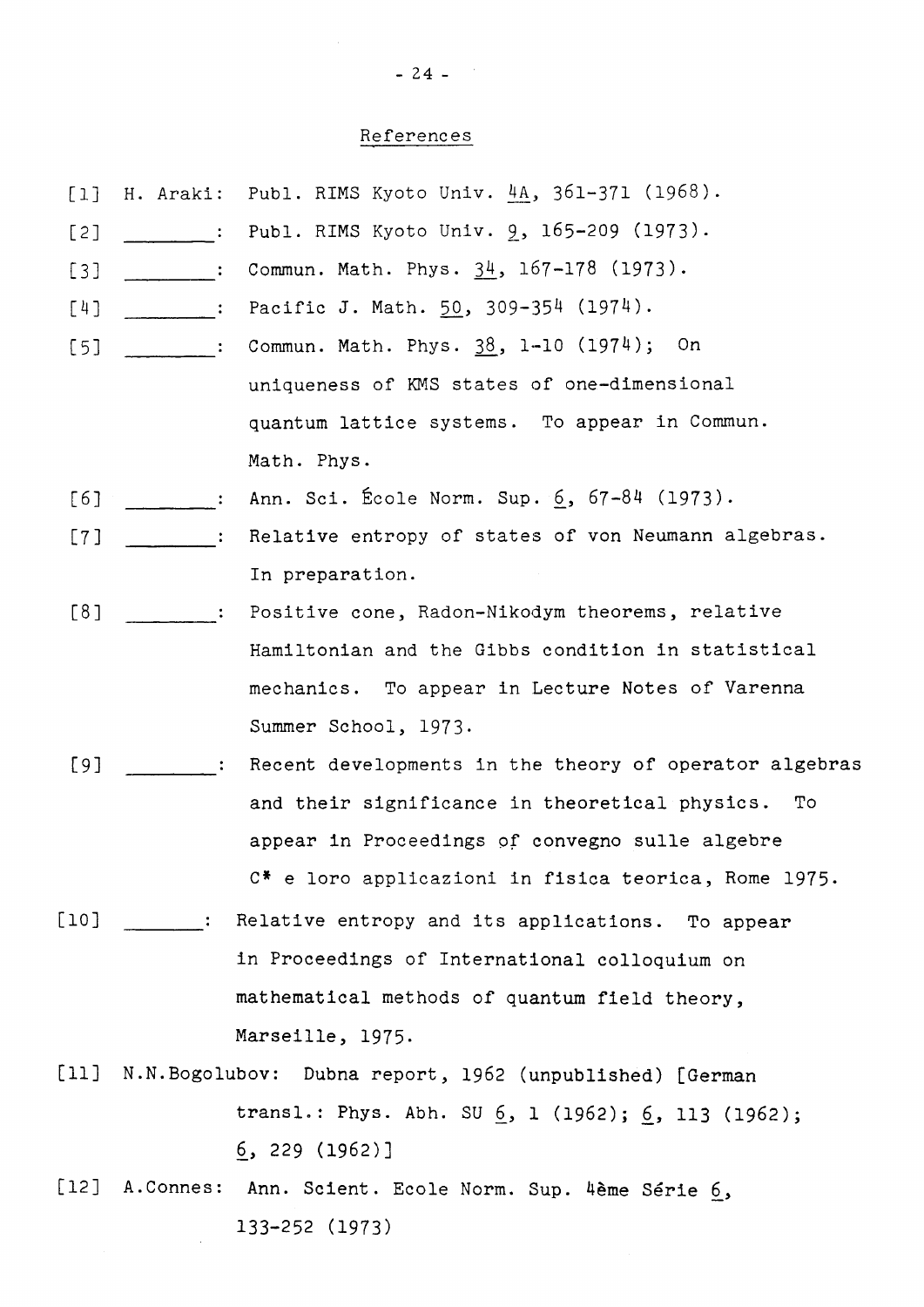#### Références

- [1] H. Araki: Publ. RIMS Kyoto Univ.  $4A$ , 361-371 (1968).
- [2] : Publ. RIMS Kyoto Univ. 9, 165-209 (1973).
- [3] : Commun. Math. Phys.  $34$ ,  $167-178$  (1973).
- [4] : Pacific J. Math. 50, 309-354 (1974).
- $[5]$  : Commun. Math. Phys.  $38$ , 1-10 (1974); On uniqueness of KMS states of one-dimensional quantum lattice Systems. To appear in Commun. Math. Phys.
- [6] : Ann. Sci. École Norm. Sup. 6, 67-84 (1973).
- [7] : Relative entropy of states of von Neumann algebras. In preparation.
- [8] : Positive cone, Radon-Nikodym theorems, relative Hamiltonian and the Gibbs condition in statistical mechanics. To appear in Lecture Notes of Varenna Summer School, 1973.
- [9] : Recent developments in the theory of operator algebras and their significance in theoretical physics. To appear in Proceedings of convegno sulle algebre C<sup>\*</sup> e loro applicazioni in fisica teorica, Rome 1975.
- [10]  $\quad$  : Relative entropy and its applications. To appear in Proceedings of International colloquium on mathematical methods of quantum field theory, Marseille, 1975.
- [11] N.N.Bogolubov: Dubna report, 1962 (unpublished) [German transl.: Phys. Abh. SU  $6, 1$  (1962);  $6, 113$  (1962); 6 , 229 (1962) ]
- [12] A.Connes: Ann. Scient. Ecole Norm. Sup. 4ème Série 6, 133-252 (1973)